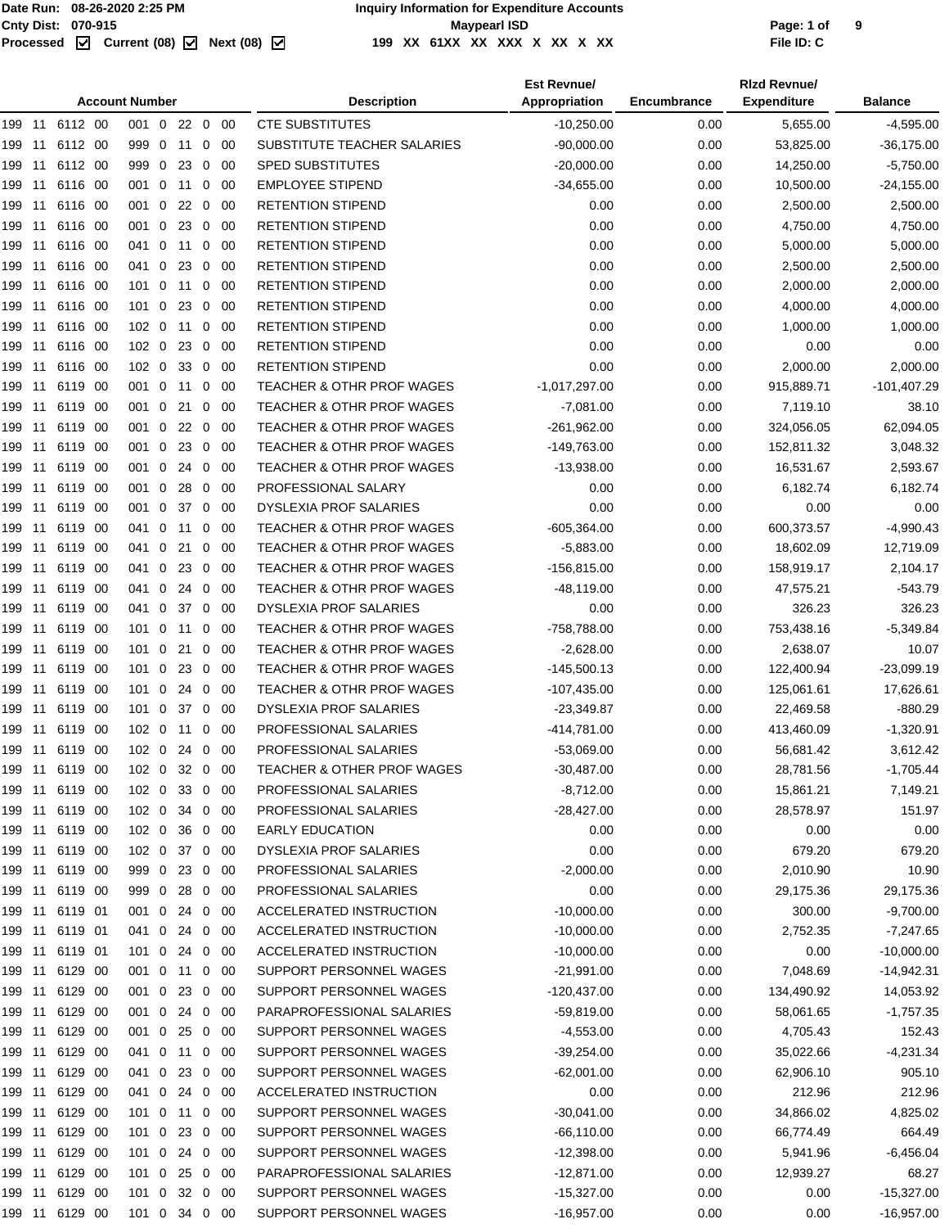|        |     |                | <b>Account Number</b> |            |                |             | <b>Description</b>                   | <b>Est Revnue/</b><br>Appropriation | Encumbrance | <b>Rizd Revnue/</b><br><b>Expenditure</b> | <b>Balance</b> |
|--------|-----|----------------|-----------------------|------------|----------------|-------------|--------------------------------------|-------------------------------------|-------------|-------------------------------------------|----------------|
| 199 11 |     | 6112 00        | 001 0 22 0 00         |            |                |             | <b>CTE SUBSTITUTES</b>               | $-10,250.00$                        | 0.00        | 5,655.00                                  | $-4,595.00$    |
| 199 11 |     | 6112 00        | 999 0                 | 11         | $\mathbf 0$    | -00         | SUBSTITUTE TEACHER SALARIES          | $-90,000.00$                        | 0.00        | 53,825.00                                 | $-36,175.00$   |
| 199    | -11 | 6112 00        | 999 0                 | 23         | $\mathbf 0$    | -00         | <b>SPED SUBSTITUTES</b>              | $-20,000.00$                        | 0.00        | 14,250.00                                 | $-5,750.00$    |
| 199    | 11  | 6116 00        | 001 0 11              |            | $\overline{0}$ | -00         | <b>EMPLOYEE STIPEND</b>              | $-34,655.00$                        | 0.00        | 10,500.00                                 | $-24,155.00$   |
| 199    | -11 | 6116 00        | 001 0                 | $22\quad0$ |                | -00         | <b>RETENTION STIPEND</b>             | 0.00                                | 0.00        | 2,500.00                                  | 2,500.00       |
| 199    | 11  | 6116 00        | 001 0                 | 23 0       |                | -00         | <b>RETENTION STIPEND</b>             | 0.00                                | 0.00        | 4,750.00                                  | 4,750.00       |
| 199    | 11  | 6116 00        | 041 0 11 0            |            |                | -00         | RETENTION STIPEND                    | 0.00                                | 0.00        | 5,000.00                                  | 5,000.00       |
| 199    | 11  | 6116 00        | 041 0                 | 23         | $\mathbf 0$    | -00         | <b>RETENTION STIPEND</b>             | 0.00                                | 0.00        | 2,500.00                                  | 2,500.00       |
| 199    | 11  | 6116 00        | $101 \ 0$             | 11         | $\mathbf{0}$   | -00         | <b>RETENTION STIPEND</b>             | 0.00                                | 0.00        | 2,000.00                                  | 2,000.00       |
| 199    | 11  | 6116 00        | $101 \ 0$             | 23         | $\mathbf 0$    | -00         | <b>RETENTION STIPEND</b>             | 0.00                                | 0.00        | 4,000.00                                  | 4,000.00       |
| 199    | 11  | 6116 00        | $102 \ 0$             | 11         | $\mathbf 0$    | -00         | <b>RETENTION STIPEND</b>             | 0.00                                | 0.00        | 1,000.00                                  | 1,000.00       |
| 199 11 |     | 6116 00        | 102 0 23              |            | $\mathbf 0$    | -00         | <b>RETENTION STIPEND</b>             | 0.00                                | 0.00        | 0.00                                      | 0.00           |
| 199    | 11  | 6116 00        | 102 0                 | 33         | $\mathbf 0$    | -00         | <b>RETENTION STIPEND</b>             | 0.00                                | 0.00        | 2,000.00                                  | 2,000.00       |
| 199    | -11 | 6119 00        | 001 0                 | 11         | $\overline{0}$ | -00         | <b>TEACHER &amp; OTHR PROF WAGES</b> | $-1,017,297.00$                     | 0.00        | 915,889.71                                | $-101,407.29$  |
| 199    | 11  | 6119 00        | 001 0                 | 21 0       |                | -00         | <b>TEACHER &amp; OTHR PROF WAGES</b> | $-7,081.00$                         | 0.00        | 7,119.10                                  | 38.10          |
| 199    | -11 | 6119 00        | 001 0                 | 22 0       |                | - 00        | <b>TEACHER &amp; OTHR PROF WAGES</b> | $-261,962.00$                       | 0.00        | 324,056.05                                | 62,094.05      |
| 199    | -11 | 6119 00        | 001 0                 | 23 0       |                | -00         | TEACHER & OTHR PROF WAGES            | -149,763.00                         | 0.00        | 152,811.32                                | 3,048.32       |
| 199    | 11  | 6119 00        | 001 0                 | 24         | $\mathbf 0$    | -00         | <b>TEACHER &amp; OTHR PROF WAGES</b> | $-13,938.00$                        | 0.00        | 16,531.67                                 | 2,593.67       |
| 199    | 11  | 6119 00        | 001 0                 | 28         | $\mathbf 0$    | -00         | PROFESSIONAL SALARY                  | 0.00                                | 0.00        | 6,182.74                                  | 6,182.74       |
| 199    | 11  | 6119 00        | 001 0                 | 37         | $\mathbf 0$    | -00         | <b>DYSLEXIA PROF SALARIES</b>        | 0.00                                | 0.00        | 0.00                                      | 0.00           |
| 199    | 11  | 6119 00        | 041 0                 | 11         | $\mathbf{0}$   | -00         | <b>TEACHER &amp; OTHR PROF WAGES</b> | $-605,364.00$                       | 0.00        | 600,373.57                                | $-4,990.43$    |
| 199    | 11  | 6119 00        | 041 0                 | 21         | $\mathbf 0$    | -00         | <b>TEACHER &amp; OTHR PROF WAGES</b> | $-5,883.00$                         | 0.00        | 18,602.09                                 | 12,719.09      |
| 199    | 11  | 6119 00        | 041 0                 | 23         | $\mathbf 0$    | -00         | <b>TEACHER &amp; OTHR PROF WAGES</b> | $-156,815.00$                       | 0.00        | 158,919.17                                | 2,104.17       |
| 199 11 |     | 6119 00        | 041 0                 | -24        | $\mathbf 0$    | -00         | <b>TEACHER &amp; OTHR PROF WAGES</b> | $-48,119.00$                        | 0.00        | 47,575.21                                 | $-543.79$      |
| 199 11 |     | 6119 00        | 041 0 37              |            | $\overline{0}$ | -00         | <b>DYSLEXIA PROF SALARIES</b>        | 0.00                                | 0.00        | 326.23                                    | 326.23         |
| 199    | -11 | 6119 00        | $101 \ 0$             | 11         | $\overline{0}$ | -00         | <b>TEACHER &amp; OTHR PROF WAGES</b> | -758,788.00                         | 0.00        | 753,438.16                                | $-5,349.84$    |
| 199    | -11 | 6119 00        | $101 \ 0$             | 21         | $\overline{0}$ | -00         | <b>TEACHER &amp; OTHR PROF WAGES</b> | $-2,628.00$                         | 0.00        | 2,638.07                                  | 10.07          |
| 199 11 |     | 6119 00        | 1010                  | 23 0 00    |                |             | <b>TEACHER &amp; OTHR PROF WAGES</b> | $-145,500.13$                       | 0.00        | 122,400.94                                | -23,099.19     |
| 199    | -11 | 6119 00        | $101 \ 0$             | 24         | $\mathbf 0$    | -00         | TEACHER & OTHR PROF WAGES            | $-107,435.00$                       | 0.00        | 125,061.61                                | 17,626.61      |
| 199    | -11 | 6119 00        | 101 0 37 0            |            |                | -00         | <b>DYSLEXIA PROF SALARIES</b>        | $-23,349.87$                        | 0.00        | 22,469.58                                 | $-880.29$      |
| 199 11 |     | 6119 00        | 102 0 11              |            | $\mathbf 0$    | -00         | PROFESSIONAL SALARIES                | -414,781.00                         | 0.00        | 413,460.09                                | $-1,320.91$    |
| 199 11 |     | 6119 00        | 102 0 24 0 00         |            |                |             | PROFESSIONAL SALARIES                | $-53,069.00$                        | 0.00        | 56,681.42                                 | 3,612.42       |
|        |     | 199 11 6119 00 | 102 0 32 0 00         |            |                |             | TEACHER & OTHER PROF WAGES           | $-30,487.00$                        | 0.00        | 28,781.56                                 | $-1,705.44$    |
| 199 11 |     | 6119 00        | 102 0 33 0 00         |            |                |             | PROFESSIONAL SALARIES                | $-8,712.00$                         | 0.00        | 15,861.21                                 | 7,149.21       |
| 199 11 |     | 6119 00        | 102 0 34 0 00         |            |                |             | PROFESSIONAL SALARIES                | $-28,427.00$                        | 0.00        | 28,578.97                                 | 151.97         |
|        |     | 199 11 6119 00 | 102 0 36 0 00         |            |                |             | <b>EARLY EDUCATION</b>               | 0.00                                | 0.00        | 0.00                                      | 0.00           |
| 199 11 |     | 6119 00        | 102 0 37 0 00         |            |                |             | DYSLEXIA PROF SALARIES               | 0.00                                | 0.00        | 679.20                                    | 679.20         |
| 199 11 |     | 6119 00        | 999 0                 | 23 0 00    |                |             | PROFESSIONAL SALARIES                | $-2,000.00$                         | 0.00        | 2,010.90                                  | 10.90          |
| 199 11 |     | 6119 00        | 999 0 28 0 00         |            |                |             | PROFESSIONAL SALARIES                | 0.00                                | 0.00        | 29,175.36                                 | 29,175.36      |
| 199 11 |     | 6119 01        | 001 0 24 0 00         |            |                |             | ACCELERATED INSTRUCTION              | $-10,000.00$                        | 0.00        | 300.00                                    | $-9,700.00$    |
| 199 11 |     | 6119 01        | 041 0                 | 24 0 00    |                |             | ACCELERATED INSTRUCTION              | $-10,000.00$                        | 0.00        | 2,752.35                                  | $-7,247.65$    |
| 199 11 |     | 6119 01        | 101 0 24 0 00         |            |                |             | ACCELERATED INSTRUCTION              | $-10,000.00$                        | 0.00        | 0.00                                      | $-10,000.00$   |
| 199 11 |     | 6129 00        | 001 0 11 0 00         |            |                |             | SUPPORT PERSONNEL WAGES              | $-21,991.00$                        | 0.00        | 7,048.69                                  | $-14,942.31$   |
| 199 11 |     | 6129 00        | 001 0                 | 23 0       |                | -00         | SUPPORT PERSONNEL WAGES              | $-120,437.00$                       | 0.00        | 134,490.92                                | 14,053.92      |
| 199 11 |     | 6129 00        | 001 0 24 0 00         |            |                |             | PARAPROFESSIONAL SALARIES            | $-59,819.00$                        | 0.00        | 58,061.65                                 | $-1,757.35$    |
| 199 11 |     | 6129 00        | 001 0 25 0 00         |            |                |             | SUPPORT PERSONNEL WAGES              | $-4,553.00$                         | 0.00        | 4,705.43                                  | 152.43         |
| 199 11 |     | 6129 00        | 041 0 11 0 00         |            |                |             | SUPPORT PERSONNEL WAGES              | $-39,254.00$                        | 0.00        | 35,022.66                                 | $-4,231.34$    |
| 199 11 |     | 6129 00        | 041 0 23 0 00         |            |                |             | SUPPORT PERSONNEL WAGES              | $-62,001.00$                        | 0.00        | 62,906.10                                 | 905.10         |
| 199 11 |     | 6129 00        | 041 0 24 0 00         |            |                |             | ACCELERATED INSTRUCTION              | 0.00                                | 0.00        | 212.96                                    | 212.96         |
| 199 11 |     | 6129 00        | $101 \ 0$             | 11         |                | $0\quad 00$ | SUPPORT PERSONNEL WAGES              | $-30,041.00$                        | 0.00        | 34,866.02                                 | 4,825.02       |
| 199 11 |     | 6129 00        | 101 0                 | 23 0 00    |                |             | SUPPORT PERSONNEL WAGES              | $-66, 110.00$                       | 0.00        | 66,774.49                                 | 664.49         |
| 199 11 |     | 6129 00        | 101 0 24 0 00         |            |                |             | SUPPORT PERSONNEL WAGES              | $-12,398.00$                        | 0.00        | 5,941.96                                  | $-6,456.04$    |
| 199 11 |     | 6129 00        | $101$ 0               | 25 0 00    |                |             | PARAPROFESSIONAL SALARIES            | $-12,871.00$                        | 0.00        | 12,939.27                                 | 68.27          |
| 199 11 |     | 6129 00        | 101 0 32 0 00         |            |                |             | SUPPORT PERSONNEL WAGES              | $-15,327.00$                        | 0.00        | 0.00                                      | $-15,327.00$   |
|        |     | 199 11 6129 00 | 101 0 34 0 00         |            |                |             | SUPPORT PERSONNEL WAGES              | $-16,957.00$                        | 0.00        | 0.00                                      | $-16,957.00$   |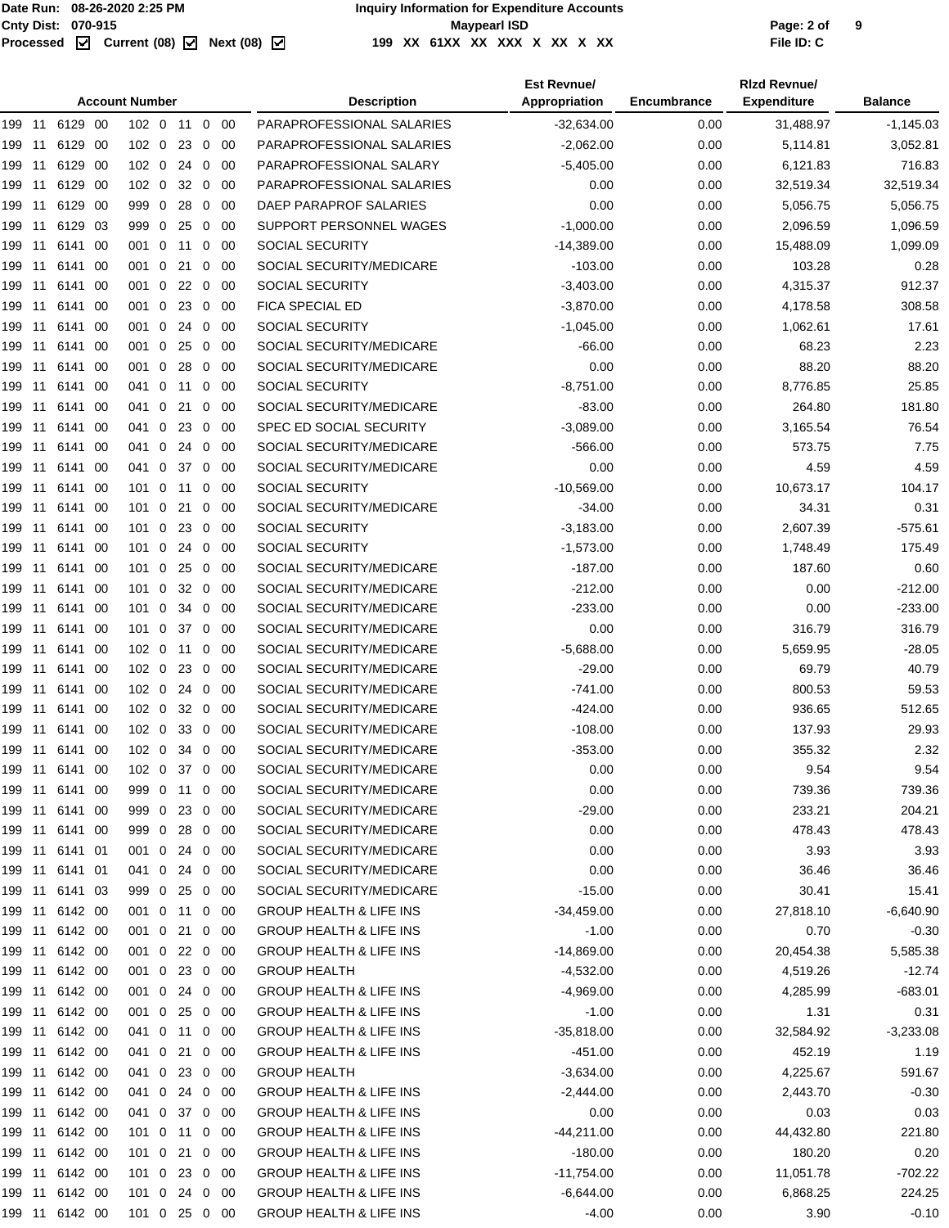#### Cnty Dist: 070-915<br> **Processed Maxmush Contries Controller Maymeat ISD**<br>
Processed **M** Current (08) M Next (08) M 199 XX 61XX XX XX X XX X XX XX **199 XX 61XX XX XXX X XX X XX File ID: C**

|     |        |                |      | <b>Account Number</b> |             |            |                |             | <b>Description</b>                 | <b>Est Revnue/</b><br>Appropriation | Encumbrance | <b>Rizd Revnue/</b><br><b>Expenditure</b> | <b>Balance</b> |
|-----|--------|----------------|------|-----------------------|-------------|------------|----------------|-------------|------------------------------------|-------------------------------------|-------------|-------------------------------------------|----------------|
|     |        | 199 11 6129 00 |      | 102 0                 |             |            |                | 11 0 00     | PARAPROFESSIONAL SALARIES          | $-32,634.00$                        | 0.00        | 31,488.97                                 | $-1,145.03$    |
| 199 | 11     | 6129           | -00  | $102 \ 0$             |             | 23         | 0              | -00         | PARAPROFESSIONAL SALARIES          | $-2,062.00$                         | 0.00        | 5,114.81                                  | 3,052.81       |
| 199 | 11     | 6129 00        |      | 102 <sub>0</sub>      |             | 24         | $\overline{0}$ | -00         | PARAPROFESSIONAL SALARY            | $-5,405.00$                         | 0.00        | 6,121.83                                  | 716.83         |
| 199 | 11     | 6129 00        |      | 102 0                 |             | $32\quad0$ |                | - 00        | PARAPROFESSIONAL SALARIES          | 0.00                                | 0.00        | 32,519.34                                 | 32,519.34      |
| 199 | 11     | 6129           | - 00 | 999 0                 |             | 28         | 0              | 00          | DAEP PARAPROF SALARIES             | 0.00                                | 0.00        | 5,056.75                                  | 5,056.75       |
| 199 | 11     | 6129 03        |      | 999 0                 |             | 25         | $\mathbf 0$    | -00         | SUPPORT PERSONNEL WAGES            | $-1,000.00$                         | 0.00        | 2,096.59                                  | 1,096.59       |
| 199 | 11     | 6141 00        |      | 001 0                 |             | 11         | 0              | - 00        | <b>SOCIAL SECURITY</b>             | $-14,389.00$                        | 0.00        | 15,488.09                                 | 1,099.09       |
| 199 | 11     | 6141 00        |      | 001 0                 |             | 21         | $\mathbf 0$    | 00          | SOCIAL SECURITY/MEDICARE           | $-103.00$                           | 0.00        | 103.28                                    | 0.28           |
|     | 199 11 | 6141 00        |      | 001 0 22 0            |             |            |                | - 00        | <b>SOCIAL SECURITY</b>             | $-3,403.00$                         | 0.00        | 4,315.37                                  | 912.37         |
| 199 | 11     | 6141 00        |      | 001 0 23 0            |             |            |                | - 00        | FICA SPECIAL ED                    | $-3,870.00$                         | 0.00        | 4,178.58                                  | 308.58         |
| 199 | 11     | 6141           | - 00 | 001 0                 |             | 24         | $\mathbf 0$    | -00         | <b>SOCIAL SECURITY</b>             | $-1,045.00$                         | 0.00        | 1,062.61                                  | 17.61          |
| 199 | 11     | 6141 00        |      | 001 0                 |             | 25         | $\mathbf 0$    | -00         | SOCIAL SECURITY/MEDICARE           | $-66.00$                            | 0.00        | 68.23                                     | 2.23           |
| 199 | 11     | 6141 00        |      | 001 0                 |             | 28         | $\mathbf 0$    | - 00        | SOCIAL SECURITY/MEDICARE           | 0.00                                | 0.00        | 88.20                                     | 88.20          |
| 199 | 11     | 6141 00        |      | 041 0                 |             | 11         | 0              | -00         | SOCIAL SECURITY                    | $-8,751.00$                         | 0.00        | 8,776.85                                  | 25.85          |
| 199 | 11     | 6141 00        |      | 041 0                 |             | 21         | 0              | - 00        | SOCIAL SECURITY/MEDICARE           | $-83.00$                            | 0.00        | 264.80                                    | 181.80         |
| 199 | 11     | 6141 00        |      | 041                   | $\mathbf 0$ |            | $23 \quad 0$   | - 00        | SPEC ED SOCIAL SECURITY            | $-3,089.00$                         | 0.00        | 3,165.54                                  | 76.54          |
| 199 | 11     | 6141           | -00  | 041                   | 0           | 24         | $\mathbf 0$    | 00          | SOCIAL SECURITY/MEDICARE           | $-566.00$                           | 0.00        | 573.75                                    | 7.75           |
| 199 | 11     | 6141 00        |      | 041                   | $\mathbf 0$ | 37         | $\mathbf 0$    | -00         | SOCIAL SECURITY/MEDICARE           | 0.00                                | 0.00        | 4.59                                      | 4.59           |
| 199 | 11     | 6141 00        |      | $101 \ 0$             |             | 11         | 0              | - 00        | SOCIAL SECURITY                    | $-10,569.00$                        | 0.00        | 10,673.17                                 | 104.17         |
| 199 | 11     | 6141 00        |      | $101 \ 0$             |             | 21         | $\mathbf 0$    | 00          | SOCIAL SECURITY/MEDICARE           | $-34.00$                            | 0.00        | 34.31                                     | 0.31           |
|     | 199 11 | 6141 00        |      | 101 0                 |             | 23         | $\mathbf 0$    | -00         | <b>SOCIAL SECURITY</b>             | $-3,183.00$                         | 0.00        | 2,607.39                                  | $-575.61$      |
| 199 | 11     | 6141 00        |      | 101 0                 |             | 24 0       |                | -00         | <b>SOCIAL SECURITY</b>             | $-1,573.00$                         | 0.00        | 1,748.49                                  | 175.49         |
| 199 | 11     | 6141           | - 00 | $101 \ 0$             |             | 25         | $\mathbf 0$    | -00         | SOCIAL SECURITY/MEDICARE           | $-187.00$                           | 0.00        | 187.60                                    | 0.60           |
| 199 | 11     | 6141 00        |      | 101                   | 0           | 32         | $\overline{0}$ | -00         | SOCIAL SECURITY/MEDICARE           | $-212.00$                           | 0.00        | 0.00                                      | $-212.00$      |
| 199 | 11     | 6141 00        |      | $101 \ 0$             |             |            | 34 0           | - 00        | SOCIAL SECURITY/MEDICARE           | $-233.00$                           | 0.00        | 0.00                                      | $-233.00$      |
| 199 | 11     | 6141 00        |      | $101 \ 0$             |             | 37         | $\mathbf 0$    | -00         | SOCIAL SECURITY/MEDICARE           | 0.00                                | 0.00        | 316.79                                    | 316.79         |
| 199 | 11     | 6141 00        |      | 102 0                 |             | 11         | $\overline{0}$ | - 00        | SOCIAL SECURITY/MEDICARE           | $-5,688.00$                         | 0.00        | 5,659.95                                  | $-28.05$       |
| 199 | 11     | 6141 00        |      | 102 0 23 0 00         |             |            |                |             | SOCIAL SECURITY/MEDICARE           | $-29.00$                            | 0.00        | 69.79                                     | 40.79          |
| 199 | 11     | 6141           | - 00 | $102 \ 0$             |             | 24         | $\overline{0}$ | -00         | SOCIAL SECURITY/MEDICARE           | $-741.00$                           | 0.00        | 800.53                                    | 59.53          |
|     | 199 11 | 6141 00        |      | $102 \ 0$             |             | 32         | $\overline{0}$ | -00         | SOCIAL SECURITY/MEDICARE           | $-424.00$                           | 0.00        | 936.65                                    | 512.65         |
| 199 | 11     | 6141           | - 00 | $102 \ 0$             |             | 33         | $\overline{0}$ | -00         | SOCIAL SECURITY/MEDICARE           | $-108.00$                           | 0.00        | 137.93                                    | 29.93          |
|     | 199 11 | 6141 00        |      | 102 0                 |             |            | 34 0           | -00         | SOCIAL SECURITY/MEDICARE           | $-353.00$                           | 0.00        | 355.32                                    | 2.32           |
|     |        |                |      | 102 0                 |             |            |                | 37 0 00     | SOCIAL SECURITY/MEDICARE           | 0.00                                | 0.00        | 9.54                                      | 9.54           |
|     |        | 199 11 6141 00 |      | 999 0 11 0 00         |             |            |                |             | SOCIAL SECURITY/MEDICARE           | 0.00                                | 0.00        | 739.36                                    | 739.36         |
|     |        | 199 11 6141 00 |      | 999 0 23 0 00         |             |            |                |             | SOCIAL SECURITY/MEDICARE           | $-29.00$                            | 0.00        | 233.21                                    | 204.21         |
|     |        | 199 11 6141 00 |      | 999 0 28 0 00         |             |            |                |             | SOCIAL SECURITY/MEDICARE           | 0.00                                | 0.00        | 478.43                                    | 478.43         |
|     |        | 199 11 6141 01 |      | 001 0 24 0 00         |             |            |                |             | SOCIAL SECURITY/MEDICARE           | 0.00                                | 0.00        | 3.93                                      | 3.93           |
|     |        | 199 11 6141 01 |      | 041 0 24 0 00         |             |            |                |             | SOCIAL SECURITY/MEDICARE           | 0.00                                | 0.00        | 36.46                                     | 36.46          |
|     |        | 199 11 6141 03 |      | 999 0 25 0 00         |             |            |                |             | SOCIAL SECURITY/MEDICARE           | $-15.00$                            | 0.00        | 30.41                                     | 15.41          |
|     |        | 199 11 6142 00 |      | 001 0 11 0 00         |             |            |                |             | <b>GROUP HEALTH &amp; LIFE INS</b> | $-34,459.00$                        | 0.00        | 27,818.10                                 | $-6,640.90$    |
|     |        | 199 11 6142 00 |      | 001 0 21 0 00         |             |            |                |             | <b>GROUP HEALTH &amp; LIFE INS</b> | $-1.00$                             | 0.00        | 0.70                                      | $-0.30$        |
|     |        |                |      | 001 0 22 0 00         |             |            |                |             | <b>GROUP HEALTH &amp; LIFE INS</b> | $-14,869.00$                        | 0.00        | 20,454.38                                 | 5,585.38       |
|     |        |                |      | 001 0 23 0 00         |             |            |                |             | <b>GROUP HEALTH</b>                | $-4,532.00$                         | 0.00        | 4,519.26                                  | $-12.74$       |
|     |        | 199 11 6142 00 |      | 001 0 24 0 00         |             |            |                |             | <b>GROUP HEALTH &amp; LIFE INS</b> | $-4,969.00$                         | 0.00        | 4,285.99                                  | $-683.01$      |
|     |        | 199 11 6142 00 |      | 001 0 25 0 00         |             |            |                |             | <b>GROUP HEALTH &amp; LIFE INS</b> | $-1.00$                             | 0.00        | 1.31                                      | 0.31           |
|     |        | 199 11 6142 00 |      | 041 0 11 0 00         |             |            |                |             | <b>GROUP HEALTH &amp; LIFE INS</b> | $-35,818.00$                        | 0.00        | 32,584.92                                 | $-3,233.08$    |
|     |        | 199 11 6142 00 |      | 041 0 21              |             |            |                | $0\quad 00$ | <b>GROUP HEALTH &amp; LIFE INS</b> | $-451.00$                           | 0.00        | 452.19                                    | 1.19           |
|     |        | 199 11 6142 00 |      | 041 0 23 0 00         |             |            |                |             | <b>GROUP HEALTH</b>                | $-3,634.00$                         | 0.00        | 4,225.67                                  | 591.67         |
|     |        | 199 11 6142 00 |      | 041 0 24 0 00         |             |            |                |             | <b>GROUP HEALTH &amp; LIFE INS</b> | $-2,444.00$                         | 0.00        | 2,443.70                                  | $-0.30$        |
|     |        | 199 11 6142 00 |      | 041 0 37 0 00         |             |            |                |             | <b>GROUP HEALTH &amp; LIFE INS</b> | 0.00                                | 0.00        | 0.03                                      | 0.03           |
|     |        | 199 11 6142 00 |      | 101 0 11 0 00         |             |            |                |             | <b>GROUP HEALTH &amp; LIFE INS</b> | $-44,211.00$                        | 0.00        | 44,432.80                                 | 221.80         |
|     |        | 199 11 6142 00 |      | 101 0 21 0 00         |             |            |                |             | <b>GROUP HEALTH &amp; LIFE INS</b> | $-180.00$                           | 0.00        | 180.20                                    | 0.20           |
|     |        | 199 11 6142 00 |      | 101 0 23 0 00         |             |            |                |             | <b>GROUP HEALTH &amp; LIFE INS</b> | $-11,754.00$                        | 0.00        | 11,051.78                                 | $-702.22$      |
|     |        |                |      | 101 0 24 0 00         |             |            |                |             | <b>GROUP HEALTH &amp; LIFE INS</b> | $-6,644.00$                         | 0.00        | 6,868.25                                  | 224.25         |
|     |        |                |      | 101 0 25 0 00         |             |            |                |             | <b>GROUP HEALTH &amp; LIFE INS</b> | -4.00                               | 0.00        | 3.90                                      | $-0.10$        |
|     |        |                |      |                       |             |            |                |             |                                    |                                     |             |                                           |                |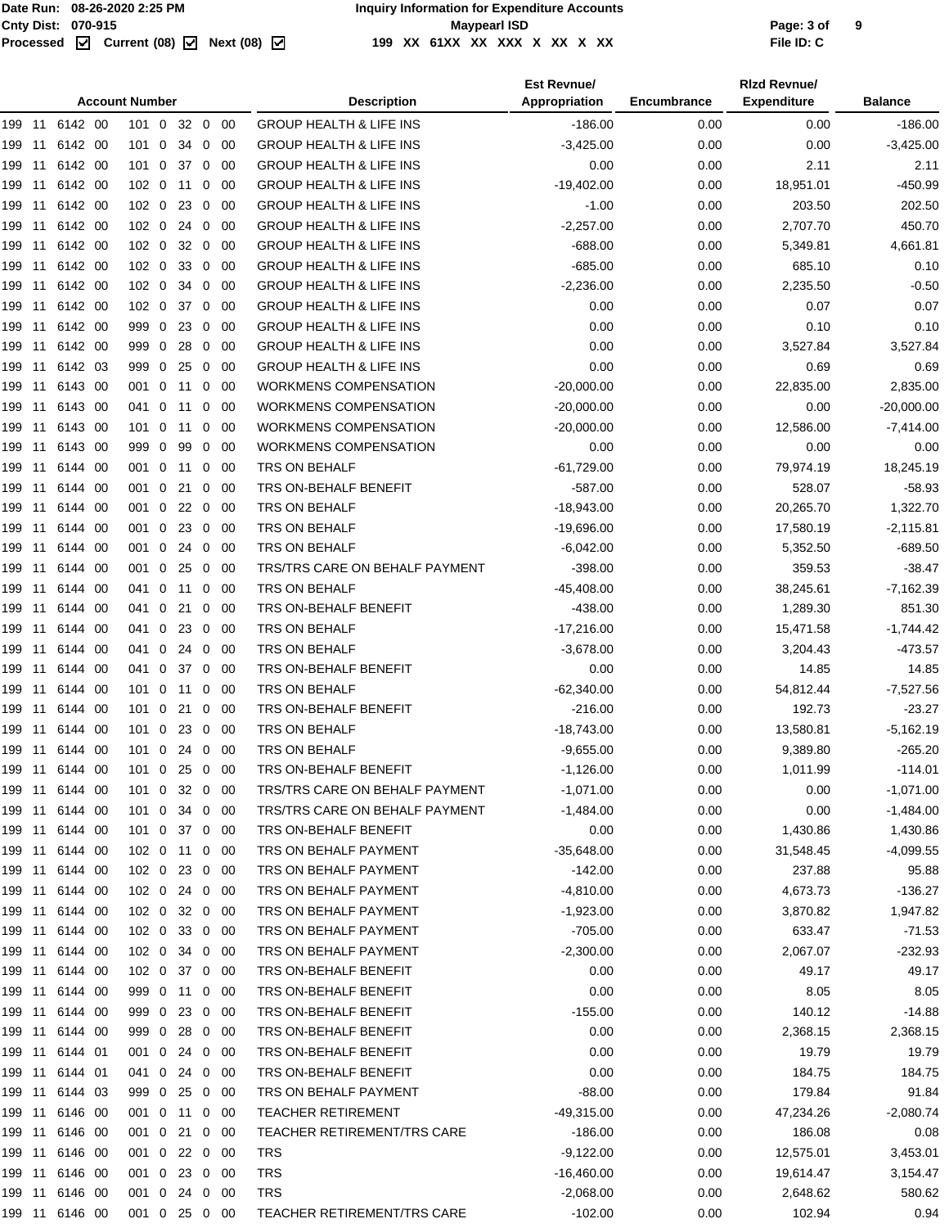|        | <b>Account Number</b> |                |  |                  |  |         |                |      | <b>Description</b>                 | <b>Est Revnue/</b><br>Appropriation | Encumbrance | <b>Rizd Revnue/</b><br><b>Expenditure</b> | <b>Balance</b> |
|--------|-----------------------|----------------|--|------------------|--|---------|----------------|------|------------------------------------|-------------------------------------|-------------|-------------------------------------------|----------------|
|        |                       |                |  |                  |  |         |                |      |                                    |                                     |             |                                           |                |
| 199    | 11                    | 6142 00        |  | $101 \ 0$        |  | 32 0    |                | 00   | <b>GROUP HEALTH &amp; LIFE INS</b> | $-186.00$                           | 0.00        | 0.00                                      | $-186.00$      |
| 199 11 |                       | 6142 00        |  | $101 \ 0$        |  | 34      | $\mathbf 0$    | -00  | <b>GROUP HEALTH &amp; LIFE INS</b> | $-3,425.00$                         | 0.00        | 0.00                                      | $-3,425.00$    |
| 199    | 11                    | 6142 00        |  | $101 \ 0$        |  | 37      | $\overline{0}$ | 00   | <b>GROUP HEALTH &amp; LIFE INS</b> | 0.00                                | 0.00        | 2.11                                      | 2.11           |
| 199 11 |                       | 6142 00        |  | 102 0 11         |  |         | $\mathbf 0$    | -00  | <b>GROUP HEALTH &amp; LIFE INS</b> | $-19,402.00$                        | 0.00        | 18.951.01                                 | $-450.99$      |
| 199    | -11                   | 6142 00        |  | 102 0            |  | 23      | $\mathbf 0$    | -00  | <b>GROUP HEALTH &amp; LIFE INS</b> | $-1.00$                             | 0.00        | 203.50                                    | 202.50         |
| 199    | 11                    | 6142 00        |  | $102 \ 0$        |  | 24      | $\mathbf{0}$   | 00   | <b>GROUP HEALTH &amp; LIFE INS</b> | $-2,257.00$                         | 0.00        | 2,707.70                                  | 450.70         |
| 199    | 11                    | 6142 00        |  | $102 \ 0$        |  | 32      | $\mathbf 0$    | 00   | <b>GROUP HEALTH &amp; LIFE INS</b> | $-688.00$                           | 0.00        | 5,349.81                                  | 4,661.81       |
| 199    | -11                   | 6142 00        |  | $102 \ 0$        |  | 33      | $\overline{0}$ | -00  | <b>GROUP HEALTH &amp; LIFE INS</b> | $-685.00$                           | 0.00        | 685.10                                    | 0.10           |
| 199    | -11                   | 6142 00        |  | 102 <sub>0</sub> |  | 34      | $\overline{0}$ | 00   | <b>GROUP HEALTH &amp; LIFE INS</b> | $-2,236.00$                         | 0.00        | 2,235.50                                  | $-0.50$        |
| 199    | -11                   | 6142 00        |  | 102 0            |  | 37 0    |                | - 00 | <b>GROUP HEALTH &amp; LIFE INS</b> | 0.00                                | 0.00        | 0.07                                      | 0.07           |
| 199    | 11                    | 6142 00        |  | 999 0            |  | 23      | $\overline{0}$ | -00  | <b>GROUP HEALTH &amp; LIFE INS</b> | 0.00                                | 0.00        | 0.10                                      | 0.10           |
| 199    | 11                    | 6142 00        |  | 999 0            |  | 28      | $\mathbf{0}$   | 00   | <b>GROUP HEALTH &amp; LIFE INS</b> | 0.00                                | 0.00        | 3,527.84                                  | 3,527.84       |
| 199    | -11                   | 6142 03        |  | 999 0            |  | 25      | $\mathbf 0$    | 00   | <b>GROUP HEALTH &amp; LIFE INS</b> | 0.00                                | 0.00        | 0.69                                      | 0.69           |
| 199    | -11                   | 6143 00        |  | 001 0 11         |  |         | $\mathbf 0$    | -00  | <b>WORKMENS COMPENSATION</b>       | $-20,000.00$                        | 0.00        | 22,835.00                                 | 2,835.00       |
| 199 11 |                       | 6143 00        |  | 041 0            |  | 11      | 0              | 00   | <b>WORKMENS COMPENSATION</b>       | $-20,000.00$                        | 0.00        | 0.00                                      | $-20,000.00$   |
| 199 11 |                       | 6143 00        |  | 101 0 11         |  |         | $\mathbf 0$    | - 00 | <b>WORKMENS COMPENSATION</b>       | $-20.000.00$                        | 0.00        | 12,586.00                                 | $-7,414.00$    |
| 199 11 |                       | 6143 00        |  | 999 0            |  | 99      | $\mathbf 0$    | -00  | <b>WORKMENS COMPENSATION</b>       | 0.00                                | 0.00        | 0.00                                      | 0.00           |
| 199    | 11                    | 6144 00        |  | 001 0            |  | 11      | $\mathbf 0$    | -00  | TRS ON BEHALF                      | $-61,729.00$                        | 0.00        | 79,974.19                                 | 18,245.19      |
| 199    | -11                   | 6144 00        |  | 001 0            |  | 21      | 0              | -00  | TRS ON-BEHALF BENEFIT              | $-587.00$                           | 0.00        | 528.07                                    | $-58.93$       |
| 199    | 11                    | 6144 00        |  | 001 0            |  | 22 0    |                | -00  | TRS ON BEHALF                      | $-18,943.00$                        | 0.00        | 20,265.70                                 | 1,322.70       |
| 199    | -11                   | 6144 00        |  | 001 0            |  | 23      | $\overline{0}$ | -00  | <b>TRS ON BEHALF</b>               | $-19,696.00$                        | 0.00        | 17,580.19                                 | $-2,115.81$    |
| 199 11 |                       | 6144 00        |  | 001 0            |  | 24 0    |                | -00  | TRS ON BEHALF                      | $-6,042.00$                         | 0.00        | 5,352.50                                  | $-689.50$      |
| 199    | 11                    | 6144 00        |  | 001 0            |  | 25      | $\overline{0}$ | -00  | TRS/TRS CARE ON BEHALF PAYMENT     | $-398.00$                           | 0.00        | 359.53                                    | $-38.47$       |
|        |                       |                |  |                  |  |         |                |      | TRS ON BEHALF                      |                                     |             |                                           |                |
| 199    | 11                    | 6144 00        |  | 041 0            |  | 11      | 0              | 00   |                                    | $-45,408.00$                        | 0.00        | 38,245.61                                 | $-7,162.39$    |
| 199    | -11                   | 6144 00        |  | 041 0            |  | 21      | 0              | 00   | TRS ON-BEHALF BENEFIT              | $-438.00$                           | 0.00        | 1,289.30                                  | 851.30         |
| 199    | -11                   | 6144 00        |  | 041 0            |  | 23      | $\mathbf 0$    | -00  | TRS ON BEHALF                      | $-17,216.00$                        | 0.00        | 15,471.58                                 | $-1,744.42$    |
| 199    | -11                   | 6144 00        |  | 041 0            |  | 24      | $\overline{0}$ | 00   | TRS ON BEHALF                      | $-3,678.00$                         | 0.00        | 3,204.43                                  | $-473.57$      |
| 199 11 |                       | 6144 00        |  | 041 0            |  | 37 0    |                | -00  | TRS ON-BEHALF BENEFIT              | 0.00                                | 0.00        | 14.85                                     | 14.85          |
| 199 11 |                       | 6144 00        |  | 101 0 11         |  |         | $\mathbf 0$    | -00  | TRS ON BEHALF                      | $-62,340.00$                        | 0.00        | 54,812.44                                 | $-7,527.56$    |
| 199    | 11                    | 6144 00        |  | $101 \ 0$        |  | 21      | 0              | 00   | TRS ON-BEHALF BENEFIT              | $-216.00$                           | 0.00        | 192.73                                    | $-23.27$       |
| 199    | -11                   | 6144 00        |  | $101 \ 0$        |  | 23      | $\mathbf{0}$   | 00   | TRS ON BEHALF                      | $-18,743.00$                        | 0.00        | 13,580.81                                 | $-5,162.19$    |
| 199    | -11                   | 6144 00        |  | $101 \ 0$        |  | 24 0    |                | -00  | TRS ON BEHALF                      | $-9,655.00$                         | 0.00        | 9,389.80                                  | -265.20        |
| 199 11 |                       | 6144 00        |  | $101 \ 0$        |  | 25 0 00 |                |      | TRS ON-BEHALF BENEFIT              | $-1,126.00$                         | 0.00        | 1,011.99                                  | $-114.01$      |
|        |                       | 199 11 6144 00 |  | 101 0 32 0 00    |  |         |                |      | TRS/TRS CARE ON BEHALF PAYMENT     | $-1,071.00$                         | 0.00        | 0.00                                      | $-1,071.00$    |
|        | 199 11                | 6144 00        |  | 101 0 34 0 00    |  |         |                |      | TRS/TRS CARE ON BEHALF PAYMENT     | $-1,484.00$                         | 0.00        | 0.00                                      | $-1,484.00$    |
| 199 11 |                       | 6144 00        |  | 101 0 37 0 00    |  |         |                |      | TRS ON-BEHALF BENEFIT              | 0.00                                | 0.00        | 1,430.86                                  | 1,430.86       |
|        | 199 11                | 6144 00        |  | 102 0 11 0 00    |  |         |                |      | TRS ON BEHALF PAYMENT              | -35,648.00                          | 0.00        | 31,548.45                                 | $-4,099.55$    |
|        | 199 11                | 6144 00        |  | 102 0 23 0 00    |  |         |                |      | TRS ON BEHALF PAYMENT              | $-142.00$                           | 0.00        | 237.88                                    | 95.88          |
| 199 11 |                       | 6144 00        |  | 102 0 24 0 00    |  |         |                |      | TRS ON BEHALF PAYMENT              | $-4,810.00$                         | 0.00        | 4,673.73                                  | $-136.27$      |
|        | 199 11                | 6144 00        |  | 102 0 32 0 00    |  |         |                |      | TRS ON BEHALF PAYMENT              | $-1,923.00$                         | 0.00        | 3,870.82                                  | 1,947.82       |
|        | 199 11                | 6144 00        |  | 102 0 33 0 00    |  |         |                |      | TRS ON BEHALF PAYMENT              | $-705.00$                           | 0.00        | 633.47                                    | $-71.53$       |
| 199 11 |                       | 6144 00        |  | 102 0            |  | 34 0 00 |                |      | TRS ON BEHALF PAYMENT              | $-2,300.00$                         | 0.00        | 2,067.07                                  | $-232.93$      |
| 199 11 |                       | 6144 00        |  | 102 0 37 0 00    |  |         |                |      | TRS ON-BEHALF BENEFIT              | 0.00                                | 0.00        | 49.17                                     | 49.17          |
| 199 11 |                       | 6144 00        |  | 999 0 11 0 00    |  |         |                |      | TRS ON-BEHALF BENEFIT              | 0.00                                | 0.00        | 8.05                                      | 8.05           |
| 199 11 |                       | 6144 00        |  | 999 0            |  | 23 0 00 |                |      | TRS ON-BEHALF BENEFIT              | $-155.00$                           | 0.00        | 140.12                                    | $-14.88$       |
| 199 11 |                       | 6144 00        |  | 999 0 28 0 00    |  |         |                |      | TRS ON-BEHALF BENEFIT              | 0.00                                | 0.00        | 2,368.15                                  | 2,368.15       |
| 199 11 |                       | 6144 01        |  | 001 0 24 0 00    |  |         |                |      | TRS ON-BEHALF BENEFIT              | 0.00                                | 0.00        | 19.79                                     | 19.79          |
| 199 11 |                       | 6144 01        |  | 041 0            |  | 24 0 00 |                |      | TRS ON-BEHALF BENEFIT              | 0.00                                | 0.00        | 184.75                                    | 184.75         |
| 199 11 |                       | 6144 03        |  | 999 0            |  | 25 0 00 |                |      | TRS ON BEHALF PAYMENT              | $-88.00$                            | 0.00        | 179.84                                    | 91.84          |
| 199 11 |                       | 6146 00        |  | 001 0 11 0 00    |  |         |                |      | <b>TEACHER RETIREMENT</b>          | -49,315.00                          | 0.00        | 47,234.26                                 | $-2,080.74$    |
| 199 11 |                       | 6146 00        |  | 001 0            |  | 21 0 00 |                |      | TEACHER RETIREMENT/TRS CARE        | $-186.00$                           | 0.00        | 186.08                                    | 0.08           |
| 199 11 |                       | 6146 00        |  | 001 0 22 0 00    |  |         |                |      | TRS                                | $-9,122.00$                         | 0.00        | 12,575.01                                 | 3,453.01       |
|        |                       | 6146 00        |  |                  |  |         |                |      |                                    |                                     |             |                                           |                |
| 199 11 |                       |                |  | 001 0 23 0 00    |  |         |                |      | TRS                                | $-16,460.00$                        | 0.00        | 19,614.47                                 | 3,154.47       |
| 199 11 |                       | 6146 00        |  | 001 0 24 0 00    |  |         |                |      | <b>TRS</b>                         | $-2,068.00$                         | 0.00        | 2,648.62                                  | 580.62         |
|        |                       | 199 11 6146 00 |  | 001 0 25 0 00    |  |         |                |      | <b>TEACHER RETIREMENT/TRS CARE</b> | $-102.00$                           | 0.00        | 102.94                                    | 0.94           |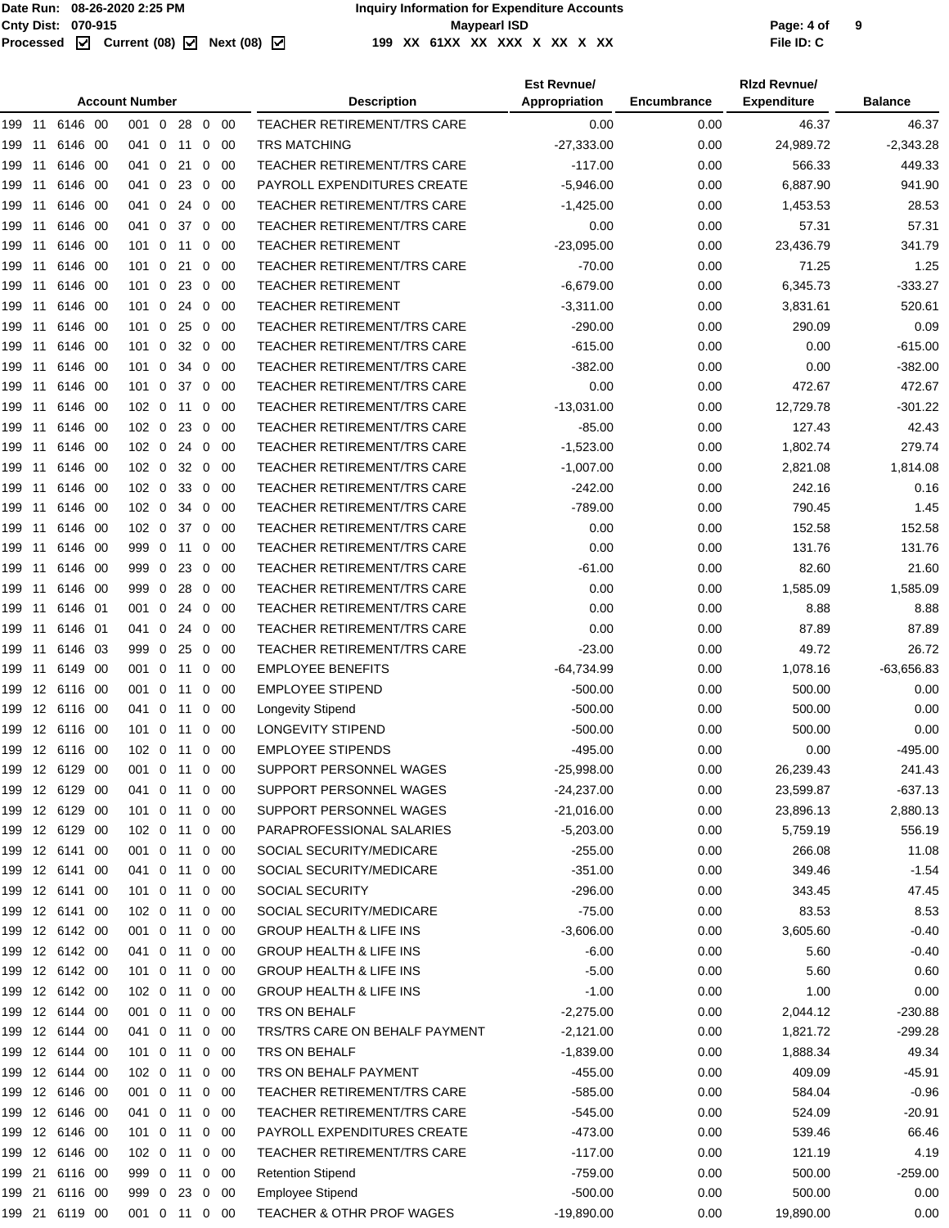|     | <b>Account Number</b> |                |  |                  |                |    |                |             | <b>Description</b>                 | <b>Est Revnuel</b><br>Appropriation | <b>Encumbrance</b> | <b>Rizd Revnue/</b><br><b>Expenditure</b> | <b>Balance</b> |
|-----|-----------------------|----------------|--|------------------|----------------|----|----------------|-------------|------------------------------------|-------------------------------------|--------------------|-------------------------------------------|----------------|
|     |                       |                |  | $001 \quad 0$    |                |    |                | 28 0 00     | TEACHER RETIREMENT/TRS CARE        | 0.00                                | 0.00               | 46.37                                     | 46.37          |
| 199 | 11                    | 6146 00        |  | 041 0            |                | 11 |                | $0\quad 00$ | <b>TRS MATCHING</b>                | $-27,333.00$                        | 0.00               | 24,989.72                                 | $-2,343.28$    |
| 199 | 11                    | 6146 00        |  | 041 0            |                | 21 |                | $0\quad 00$ | <b>TEACHER RETIREMENT/TRS CARE</b> | $-117.00$                           | 0.00               | 566.33                                    | 449.33         |
| 199 | 11                    | 6146 00        |  | 041 0            |                |    |                | 23 0 00     | PAYROLL EXPENDITURES CREATE        | $-5,946.00$                         | 0.00               | 6,887.90                                  | 941.90         |
| 199 | -11                   | 6146 00        |  | 041              | $\overline{0}$ | 24 | 0              | - 00        | <b>TEACHER RETIREMENT/TRS CARE</b> | $-1,425.00$                         | 0.00               | 1,453.53                                  | 28.53          |
| 199 | 11                    | 6146 00        |  | 041              | $\mathbf 0$    | 37 | $\mathbf{0}$   | - 00        | <b>TEACHER RETIREMENT/TRS CARE</b> | 0.00                                | 0.00               | 57.31                                     | 57.31          |
| 199 | 11                    | 6146 00        |  | 101              | $\mathbf 0$    | 11 | 0              | -00         | <b>TEACHER RETIREMENT</b>          | $-23,095.00$                        | 0.00               | 23,436.79                                 | 341.79         |
| 199 | 11                    | 6146 00        |  | $101 \ 0$        |                | 21 | 0              | - 00        | <b>TEACHER RETIREMENT/TRS CARE</b> | $-70.00$                            | 0.00               | 71.25                                     | 1.25           |
| 199 | 11                    | 6146 00        |  | $101 \ 0$        |                | 23 | $\mathbf 0$    | -00         | <b>TEACHER RETIREMENT</b>          | $-6,679.00$                         | 0.00               | 6,345.73                                  | $-333.27$      |
| 199 | 11                    | 6146 00        |  | 101 0            |                | 24 | 0              | - 00        | <b>TEACHER RETIREMENT</b>          | $-3,311.00$                         | 0.00               | 3,831.61                                  | 520.61         |
| 199 | 11                    | 6146 00        |  | 101 0 25         |                |    | $\mathbf 0$    | - 00        | <b>TEACHER RETIREMENT/TRS CARE</b> | $-290.00$                           | 0.00               | 290.09                                    | 0.09           |
| 199 | 11                    | 6146 00        |  | 101              | $\mathbf{0}$   |    | 32 0           | -00         | <b>TEACHER RETIREMENT/TRS CARE</b> | $-615.00$                           | 0.00               | 0.00                                      | $-615.00$      |
| 199 | 11                    | 6146 00        |  | 101              | 0              | 34 | 0              | -00         | <b>TEACHER RETIREMENT/TRS CARE</b> | $-382.00$                           | 0.00               | 0.00                                      | $-382.00$      |
| 199 | 11                    | 6146 00        |  | $101 \ 0$        |                | 37 |                | $0\quad 00$ | <b>TEACHER RETIREMENT/TRS CARE</b> | 0.00                                | 0.00               | 472.67                                    | 472.67         |
| 199 | 11                    | 6146 00        |  | 102 0            |                | 11 | $\mathbf{0}$   | - 00        | <b>TEACHER RETIREMENT/TRS CARE</b> | $-13,031.00$                        | 0.00               | 12,729.78                                 | $-301.22$      |
| 199 | 11                    | 6146 00        |  | 102 0            |                |    |                | 23 0 00     | <b>TEACHER RETIREMENT/TRS CARE</b> | $-85.00$                            | 0.00               | 127.43                                    | 42.43          |
| 199 | 11                    | 6146 00        |  | 102 0 24 0 00    |                |    |                |             | <b>TEACHER RETIREMENT/TRS CARE</b> | $-1,523.00$                         | 0.00               | 1,802.74                                  | 279.74         |
| 199 | 11                    | 6146 00        |  | 102 <sub>0</sub> |                |    |                | 32 0 00     | <b>TEACHER RETIREMENT/TRS CARE</b> | $-1,007.00$                         | 0.00               | 2,821.08                                  | 1,814.08       |
| 199 | 11                    | 6146 00        |  | 102 0            |                | 33 | $\mathbf 0$    | - 00        | <b>TEACHER RETIREMENT/TRS CARE</b> | $-242.00$                           | 0.00               | 242.16                                    | 0.16           |
| 199 | 11                    | 6146 00        |  | 102 <sub>0</sub> |                | 34 | 0              | - 00        | <b>TEACHER RETIREMENT/TRS CARE</b> | $-789.00$                           | 0.00               | 790.45                                    | 1.45           |
| 199 | 11                    | 6146 00        |  | 102 0            |                | 37 | $\mathbf{0}$   | - 00        | <b>TEACHER RETIREMENT/TRS CARE</b> | 0.00                                | 0.00               | 152.58                                    | 152.58         |
| 199 | 11                    | 6146 00        |  | 999 0 11         |                |    | 0              | - 00        | <b>TEACHER RETIREMENT/TRS CARE</b> | 0.00                                | 0.00               | 131.76                                    | 131.76         |
| 199 | 11                    | 6146 00        |  | 999 0 23         |                |    | 0              | - 00        | <b>TEACHER RETIREMENT/TRS CARE</b> | $-61.00$                            | 0.00               | 82.60                                     | 21.60          |
|     |                       |                |  |                  |                | 28 |                |             | <b>TEACHER RETIREMENT/TRS CARE</b> | 0.00                                |                    | 1,585.09                                  | 1,585.09       |
| 199 | 11<br>11              | 6146 00        |  | 999 0<br>001     | $\overline{0}$ |    | 0              | -00         | <b>TEACHER RETIREMENT/TRS CARE</b> | 0.00                                | 0.00<br>0.00       | 8.88                                      | 8.88           |
| 199 |                       | 6146 01        |  |                  |                | 24 | 0              | -00         |                                    |                                     |                    |                                           |                |
| 199 | 11                    | 6146 01        |  | 041              | $\overline{0}$ | 24 | 0              | -00         | <b>TEACHER RETIREMENT/TRS CARE</b> | 0.00                                | 0.00               | 87.89                                     | 87.89          |
| 199 | 11                    | 6146 03        |  | 999 0            |                | 25 | $\overline{0}$ | - 00        | <b>TEACHER RETIREMENT/TRS CARE</b> | $-23.00$                            | 0.00               | 49.72                                     | 26.72          |
| 199 | 11                    | 6149 00        |  | 001 0 11         |                |    |                | $0\quad 00$ | <b>EMPLOYEE BENEFITS</b>           | $-64,734.99$                        | 0.00               | 1,078.16                                  | $-63,656.83$   |
| 199 |                       | 12 6116 00     |  | 001 0 11         |                |    |                | $0\quad 00$ | <b>EMPLOYEE STIPEND</b>            | $-500.00$                           | 0.00               | 500.00                                    | 0.00           |
| 199 |                       | 12 6116 00     |  | 041 0            |                | 11 | 0              | -00         | <b>Longevity Stipend</b>           | $-500.00$                           | 0.00               | 500.00                                    | 0.00           |
| 199 |                       | 12 6116 00     |  | $101 \ 0$        |                | 11 | 0              | -00         | LONGEVITY STIPEND                  | $-500.00$                           | 0.00               | 500.00                                    | 0.00           |
|     |                       | 199 12 6116 00 |  | 102 0 11 0 00    |                |    |                |             | <b>EMPLOYEE STIPENDS</b>           | $-495.00$                           | 0.00               | 0.00                                      | $-495.00$      |
| 199 |                       | 12 6129 00     |  | 001 0            |                |    |                | 11 0 00     | SUPPORT PERSONNEL WAGES            | -25,998.00                          | 0.00               | 26,239.43                                 | 241.43         |
|     |                       | 199 12 6129 00 |  | 041 0 11 0 00    |                |    |                |             | SUPPORT PERSONNEL WAGES            | $-24,237.00$                        | 0.00               | 23,599.87                                 | $-637.13$      |
|     |                       | 199 12 6129 00 |  | 101 0 11 0 00    |                |    |                |             | SUPPORT PERSONNEL WAGES            | $-21,016.00$                        | 0.00               | 23,896.13                                 | 2,880.13       |
|     |                       | 199 12 6129 00 |  | 102 0 11 0 00    |                |    |                |             | PARAPROFESSIONAL SALARIES          | $-5,203.00$                         | 0.00               | 5,759.19                                  | 556.19         |
|     |                       | 199 12 6141 00 |  | 001 0 11 0 00    |                |    |                |             | SOCIAL SECURITY/MEDICARE           | $-255.00$                           | 0.00               | 266.08                                    | 11.08          |
|     |                       | 199 12 6141 00 |  | 041 0 11 0 00    |                |    |                |             | SOCIAL SECURITY/MEDICARE           | $-351.00$                           | 0.00               | 349.46                                    | $-1.54$        |
|     |                       | 199 12 6141 00 |  | 101 0 11 0 00    |                |    |                |             | SOCIAL SECURITY                    | $-296.00$                           | 0.00               | 343.45                                    | 47.45          |
|     |                       | 199 12 6141 00 |  | 102 0 11 0 00    |                |    |                |             | SOCIAL SECURITY/MEDICARE           | $-75.00$                            | 0.00               | 83.53                                     | 8.53           |
|     |                       | 199 12 6142 00 |  | 001 0 11 0 00    |                |    |                |             | <b>GROUP HEALTH &amp; LIFE INS</b> | $-3,606.00$                         | 0.00               | 3,605.60                                  | $-0.40$        |
|     |                       | 199 12 6142 00 |  | 041 0 11 0 00    |                |    |                |             | <b>GROUP HEALTH &amp; LIFE INS</b> | $-6.00$                             | 0.00               | 5.60                                      | $-0.40$        |
|     |                       | 199 12 6142 00 |  | 101 0 11 0 00    |                |    |                |             | <b>GROUP HEALTH &amp; LIFE INS</b> | $-5.00$                             | 0.00               | 5.60                                      | 0.60           |
|     |                       | 199 12 6142 00 |  | 102 0 11 0 00    |                |    |                |             | <b>GROUP HEALTH &amp; LIFE INS</b> | $-1.00$                             | 0.00               | 1.00                                      | 0.00           |
|     |                       | 199 12 6144 00 |  | 001 0 11 0 00    |                |    |                |             | TRS ON BEHALF                      | $-2,275.00$                         | 0.00               | 2,044.12                                  | $-230.88$      |
|     |                       | 199 12 6144 00 |  | 041 0 11 0 00    |                |    |                |             | TRS/TRS CARE ON BEHALF PAYMENT     | $-2,121.00$                         | 0.00               | 1,821.72                                  | $-299.28$      |
|     |                       | 199 12 6144 00 |  | 101 0 11 0 00    |                |    |                |             | TRS ON BEHALF                      | $-1,839.00$                         | 0.00               | 1,888.34                                  | 49.34          |
|     |                       | 199 12 6144 00 |  | 102 0 11 0 00    |                |    |                |             | TRS ON BEHALF PAYMENT              | $-455.00$                           | 0.00               | 409.09                                    | $-45.91$       |
|     |                       | 199 12 6146 00 |  | 001 0 11 0 00    |                |    |                |             | <b>TEACHER RETIREMENT/TRS CARE</b> | $-585.00$                           | 0.00               | 584.04                                    | $-0.96$        |
|     |                       | 199 12 6146 00 |  | 041 0 11 0 00    |                |    |                |             | <b>TEACHER RETIREMENT/TRS CARE</b> | $-545.00$                           | 0.00               | 524.09                                    | $-20.91$       |
|     |                       | 199 12 6146 00 |  | 101 0 11 0 00    |                |    |                |             | PAYROLL EXPENDITURES CREATE        | $-473.00$                           | 0.00               | 539.46                                    | 66.46          |
|     |                       | 199 12 6146 00 |  | 102 0 11 0 00    |                |    |                |             | TEACHER RETIREMENT/TRS CARE        | $-117.00$                           | 0.00               | 121.19                                    | 4.19           |
|     |                       | 199 21 6116 00 |  | 999 0 11 0 00    |                |    |                |             | <b>Retention Stipend</b>           | $-759.00$                           | 0.00               | 500.00                                    | $-259.00$      |
|     |                       | 199 21 6116 00 |  | 999 0 23 0 00    |                |    |                |             | <b>Employee Stipend</b>            | $-500.00$                           | 0.00               | 500.00                                    | 0.00           |
|     |                       | 199 21 6119 00 |  | 001 0 11 0 00    |                |    |                |             | TEACHER & OTHR PROF WAGES          | $-19,890.00$                        | 0.00               | 19,890.00                                 | 0.00           |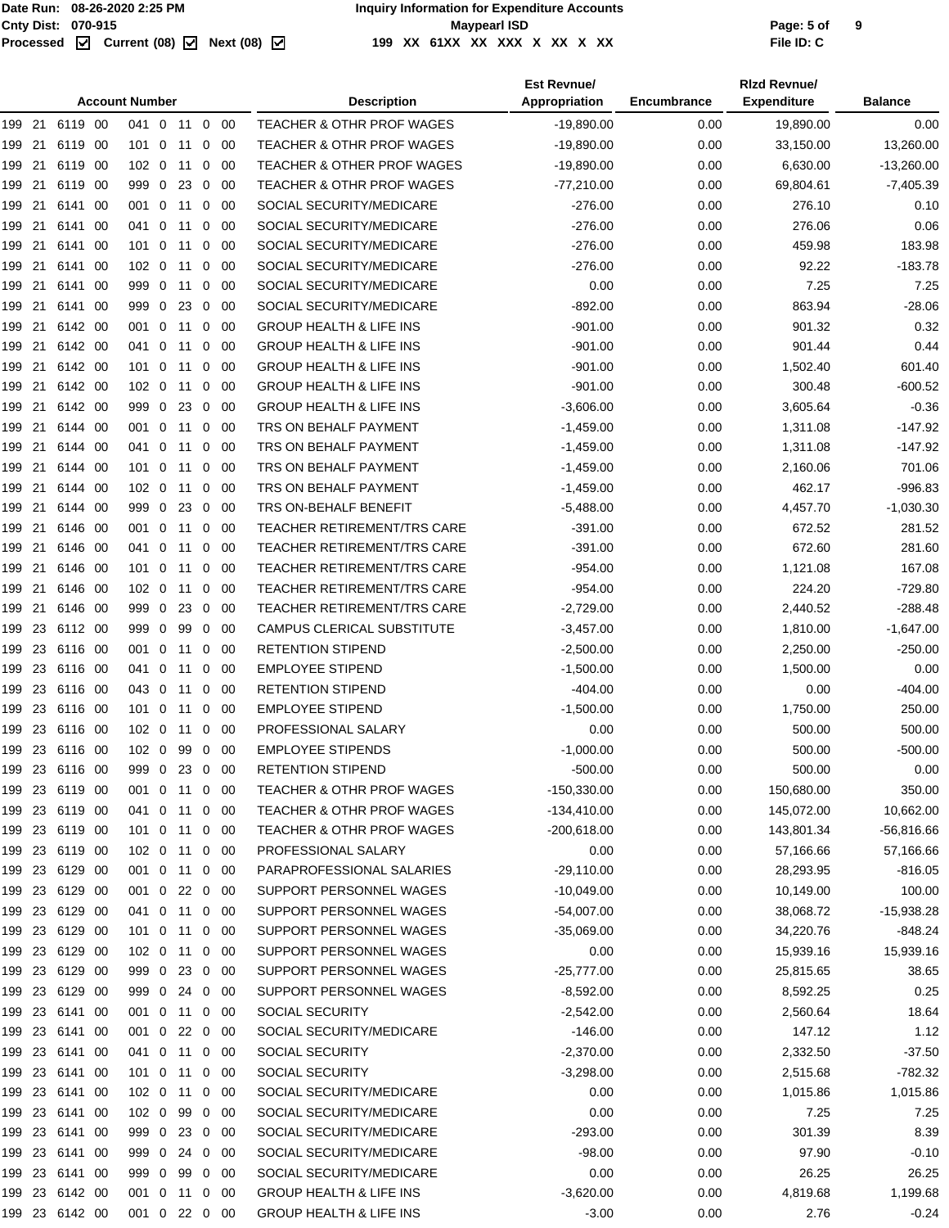| <b>Account Number</b>                                              | <b>Description</b>                    | <b>Est Revnue/</b><br>Appropriation | Encumbrance | <b>Rizd Revnuel</b><br><b>Expenditure</b> | <b>Balance</b> |
|--------------------------------------------------------------------|---------------------------------------|-------------------------------------|-------------|-------------------------------------------|----------------|
| 199 21<br>6119 00<br>041 0 11 0 00                                 | <b>TEACHER &amp; OTHR PROF WAGES</b>  | $-19,890.00$                        | 0.00        | 19,890.00                                 | 0.00           |
| 199 21<br>6119 00<br>101 0 11<br>$0\quad 00$                       | <b>TEACHER &amp; OTHR PROF WAGES</b>  | $-19,890.00$                        | 0.00        | 33,150.00                                 | 13,260.00      |
| 21<br>6119 00<br>102 0 11 0 00<br>199                              | <b>TEACHER &amp; OTHER PROF WAGES</b> | $-19,890.00$                        | 0.00        | 6,630.00                                  | $-13,260.00$   |
| 21<br>6119 00<br>999 0 23<br>199<br>$\overline{0}$<br>- 00         | <b>TEACHER &amp; OTHR PROF WAGES</b>  | $-77,210.00$                        | 0.00        | 69,804.61                                 | $-7,405.39$    |
| 21<br>$\mathbf 0$<br>199<br>6141 00<br>001<br>11<br>0<br>-00       | SOCIAL SECURITY/MEDICARE              | $-276.00$                           | 0.00        | 276.10                                    | 0.10           |
| 21<br>$\mathbf 0$<br>0<br>-00<br>199<br>6141 00<br>041<br>11       | SOCIAL SECURITY/MEDICARE              | $-276.00$                           | 0.00        | 276.06                                    | 0.06           |
| 199 21<br>1010<br>-00<br>6141 00<br>11<br>0                        | SOCIAL SECURITY/MEDICARE              | $-276.00$                           | 0.00        | 459.98                                    | 183.98         |
| 199 21<br>102 0 11<br>- 00<br>6141 00<br>0                         | SOCIAL SECURITY/MEDICARE              | $-276.00$                           | 0.00        | 92.22                                     | $-183.78$      |
| 21<br>6141 00<br>999 0 11<br>$0\quad 00$<br>199                    | SOCIAL SECURITY/MEDICARE              | 0.00                                | 0.00        | 7.25                                      | 7.25           |
| 21<br>6141 00<br>999 0 23<br>199<br>0<br>-00                       | SOCIAL SECURITY/MEDICARE              | $-892.00$                           | 0.00        | 863.94                                    | $-28.06$       |
| 21<br>199<br>6142 00<br>001 0 11<br>-00<br>0                       | <b>GROUP HEALTH &amp; LIFE INS</b>    | $-901.00$                           | 0.00        | 901.32                                    | 0.32           |
| 21<br>6142 00<br>$\mathbf 0$<br>199<br>041<br>11<br>0<br>- 00      | <b>GROUP HEALTH &amp; LIFE INS</b>    | $-901.00$                           | 0.00        | 901.44                                    | 0.44           |
| 199 21<br>6142 00<br>$101 \ 0$<br>11<br>0<br>-00                   | <b>GROUP HEALTH &amp; LIFE INS</b>    | $-901.00$                           | 0.00        | 1,502.40                                  | 601.40         |
| 21<br>6142 00<br>102 0 11<br>199<br>$0\quad 00$                    | <b>GROUP HEALTH &amp; LIFE INS</b>    | $-901.00$                           | 0.00        | 300.48                                    | $-600.52$      |
| 21<br>6142 00<br>999 0<br>23<br>$0\quad 00$<br>199                 | <b>GROUP HEALTH &amp; LIFE INS</b>    | $-3,606.00$                         | 0.00        | 3,605.64                                  | $-0.36$        |
| 21<br>6144 00<br>$\mathbf 0$<br>199<br>001<br>11<br>0<br>- 00      | TRS ON BEHALF PAYMENT                 | $-1,459.00$                         | 0.00        | 1,311.08                                  | $-147.92$      |
| 21<br>0<br>041                                                     | TRS ON BEHALF PAYMENT                 |                                     |             | 1,311.08                                  | $-147.92$      |
| 199<br>6144 00<br>11<br>0<br>-00                                   |                                       | $-1,459.00$                         | 0.00        |                                           |                |
| 21<br>6144 00<br>$\mathbf 0$<br>0<br>- 00<br>199<br>101<br>11      | TRS ON BEHALF PAYMENT                 | $-1,459.00$                         | 0.00        | 2,160.06                                  | 701.06         |
| 199 21<br>$102 \ 0$<br>-00<br>6144 00<br>11<br>0                   | TRS ON BEHALF PAYMENT                 | $-1,459.00$                         | 0.00        | 462.17                                    | $-996.83$      |
| 199 21<br>999 0<br>23<br>$0\quad 00$<br>6144 00                    | TRS ON-BEHALF BENEFIT                 | $-5,488.00$                         | 0.00        | 4,457.70                                  | $-1,030.30$    |
| 21<br>6146 00<br>001 0 11 0 00<br>199                              | <b>TEACHER RETIREMENT/TRS CARE</b>    | $-391.00$                           | 0.00        | 672.52                                    | 281.52         |
| 199 21<br>6146 00<br>041 0 11<br>0<br>- 00                         | <b>TEACHER RETIREMENT/TRS CARE</b>    | $-391.00$                           | 0.00        | 672.60                                    | 281.60         |
| 21<br>6146 00<br>101 0<br>11<br>- 00<br>199<br>0                   | <b>TEACHER RETIREMENT/TRS CARE</b>    | -954.00                             | 0.00        | 1,121.08                                  | 167.08         |
| 21<br>6146 00<br>102 0<br>199<br>11<br>0<br>- 00                   | <b>TEACHER RETIREMENT/TRS CARE</b>    | $-954.00$                           | 0.00        | 224.20                                    | $-729.80$      |
| 21<br>999 0<br>23<br>199<br>6146 00<br>$\overline{0}$<br>-00       | <b>TEACHER RETIREMENT/TRS CARE</b>    | $-2,729.00$                         | 0.00        | 2,440.52                                  | $-288.48$      |
| 23<br>6112 00<br>999 0<br>99<br>199<br>$0\quad 00$                 | <b>CAMPUS CLERICAL SUBSTITUTE</b>     | $-3,457.00$                         | 0.00        | 1,810.00                                  | $-1,647.00$    |
| 23<br>6116 00<br>$\overline{0}$<br>$0\quad 00$<br>199<br>001<br>11 | <b>RETENTION STIPEND</b>              | $-2,500.00$                         | 0.00        | 2,250.00                                  | $-250.00$      |
| 23<br>6116 00<br>0<br>- 00<br>199<br>041<br>11<br>0                | <b>EMPLOYEE STIPEND</b>               | $-1,500.00$                         | 0.00        | 1,500.00                                  | 0.00           |
| 23<br>043 0<br>199<br>6116 00<br>11<br>-00<br>0                    | <b>RETENTION STIPEND</b>              | -404.00                             | 0.00        | 0.00                                      | $-404.00$      |
| 23<br>6116 00<br>$101 \ 0$<br>-00<br>199<br>11<br>0                | <b>EMPLOYEE STIPEND</b>               | $-1,500.00$                         | 0.00        | 1,750.00                                  | 250.00         |
| 23<br>6116 00<br>$102 \ 0$<br>00<br>199<br>11<br>0                 | PROFESSIONAL SALARY                   | 0.00                                | 0.00        | 500.00                                    | 500.00         |
| 199 23 6116 00<br>102 0 99 0 00                                    | <b>EMPLOYEE STIPENDS</b>              | $-1,000.00$                         | 0.00        | 500.00                                    | $-500.00$      |
| 199 23 6116 00<br>999 0 23 0 00                                    | <b>RETENTION STIPEND</b>              | $-500.00$                           | 0.00        | 500.00                                    | 0.00           |
| 199 23 6119 00<br>001 0 11 0 00                                    | TEACHER & OTHR PROF WAGES             | $-150,330.00$                       | 0.00        | 150,680.00                                | 350.00         |
| 199 23 6119 00<br>041 0 11 0 00                                    | TEACHER & OTHR PROF WAGES             | -134,410.00                         | 0.00        | 145,072.00                                | 10,662.00      |
| 199 23 6119 00<br>101 0 11 0 00                                    | <b>TEACHER &amp; OTHR PROF WAGES</b>  | -200,618.00                         | 0.00        | 143,801.34                                | $-56,816.66$   |
| 199 23 6119 00<br>102 0 11 0 00                                    | PROFESSIONAL SALARY                   | 0.00                                | 0.00        | 57,166.66                                 | 57,166.66      |
| 199 23 6129 00<br>001 0 11 0 00                                    | PARAPROFESSIONAL SALARIES             | $-29,110.00$                        | 0.00        | 28,293.95                                 | $-816.05$      |
| 199 23 6129 00<br>001 0 22 0 00                                    | SUPPORT PERSONNEL WAGES               | $-10,049.00$                        | 0.00        | 10,149.00                                 | 100.00         |
| 199 23 6129 00<br>041 0 11 0 00                                    | SUPPORT PERSONNEL WAGES               | -54,007.00                          | 0.00        | 38,068.72                                 | $-15,938.28$   |
| 199 23 6129 00<br>101 0 11 0 00                                    | SUPPORT PERSONNEL WAGES               | $-35,069.00$                        | 0.00        | 34,220.76                                 | -848.24        |
| 199 23 6129 00<br>102 0 11 0 00                                    | SUPPORT PERSONNEL WAGES               | 0.00                                | 0.00        | 15,939.16                                 | 15,939.16      |
| 199 23 6129 00<br>999 0 23 0 00                                    | SUPPORT PERSONNEL WAGES               | $-25,777.00$                        | 0.00        | 25,815.65                                 | 38.65          |
| 199 23 6129 00<br>999 0 24 0 00                                    | SUPPORT PERSONNEL WAGES               | $-8,592.00$                         | 0.00        | 8,592.25                                  | 0.25           |
| 199 23 6141 00<br>001 0 11 0 00                                    | SOCIAL SECURITY                       | $-2,542.00$                         | 0.00        | 2,560.64                                  | 18.64          |
| 199 23 6141 00<br>001 0 22 0 00                                    | SOCIAL SECURITY/MEDICARE              | $-146.00$                           | 0.00        | 147.12                                    | 1.12           |
| 199 23 6141 00<br>041 0 11 0 00                                    | SOCIAL SECURITY                       | $-2,370.00$                         | 0.00        | 2,332.50                                  | $-37.50$       |
| 199 23 6141 00<br>101 0 11 0 00                                    | SOCIAL SECURITY                       | $-3,298.00$                         | 0.00        | 2,515.68                                  | $-782.32$      |
| 199 23 6141 00<br>102 0 11<br>$0\quad 00$                          | SOCIAL SECURITY/MEDICARE              | 0.00                                | 0.00        | 1,015.86                                  | 1,015.86       |
| 199 23 6141 00<br>102 0 99 0 00                                    | SOCIAL SECURITY/MEDICARE              | 0.00                                | 0.00        | 7.25                                      | 7.25           |
| 199 23 6141 00<br>999 0 23 0 00                                    | SOCIAL SECURITY/MEDICARE              | $-293.00$                           | 0.00        | 301.39                                    | 8.39           |
| 199 23 6141 00<br>999 0 24 0 00                                    | SOCIAL SECURITY/MEDICARE              | $-98.00$                            | 0.00        | 97.90                                     | $-0.10$        |
| 199 23 6141 00<br>999 0 99 0 00                                    | SOCIAL SECURITY/MEDICARE              | 0.00                                | 0.00        | 26.25                                     | 26.25          |
| 199 23 6142 00<br>001 0 11 0 00                                    | <b>GROUP HEALTH &amp; LIFE INS</b>    | $-3,620.00$                         | 0.00        | 4,819.68                                  | 1,199.68       |
| 199 23 6142 00<br>001 0 22 0 00                                    | <b>GROUP HEALTH &amp; LIFE INS</b>    | $-3.00$                             | 0.00        | 2.76                                      | $-0.24$        |
|                                                                    |                                       |                                     |             |                                           |                |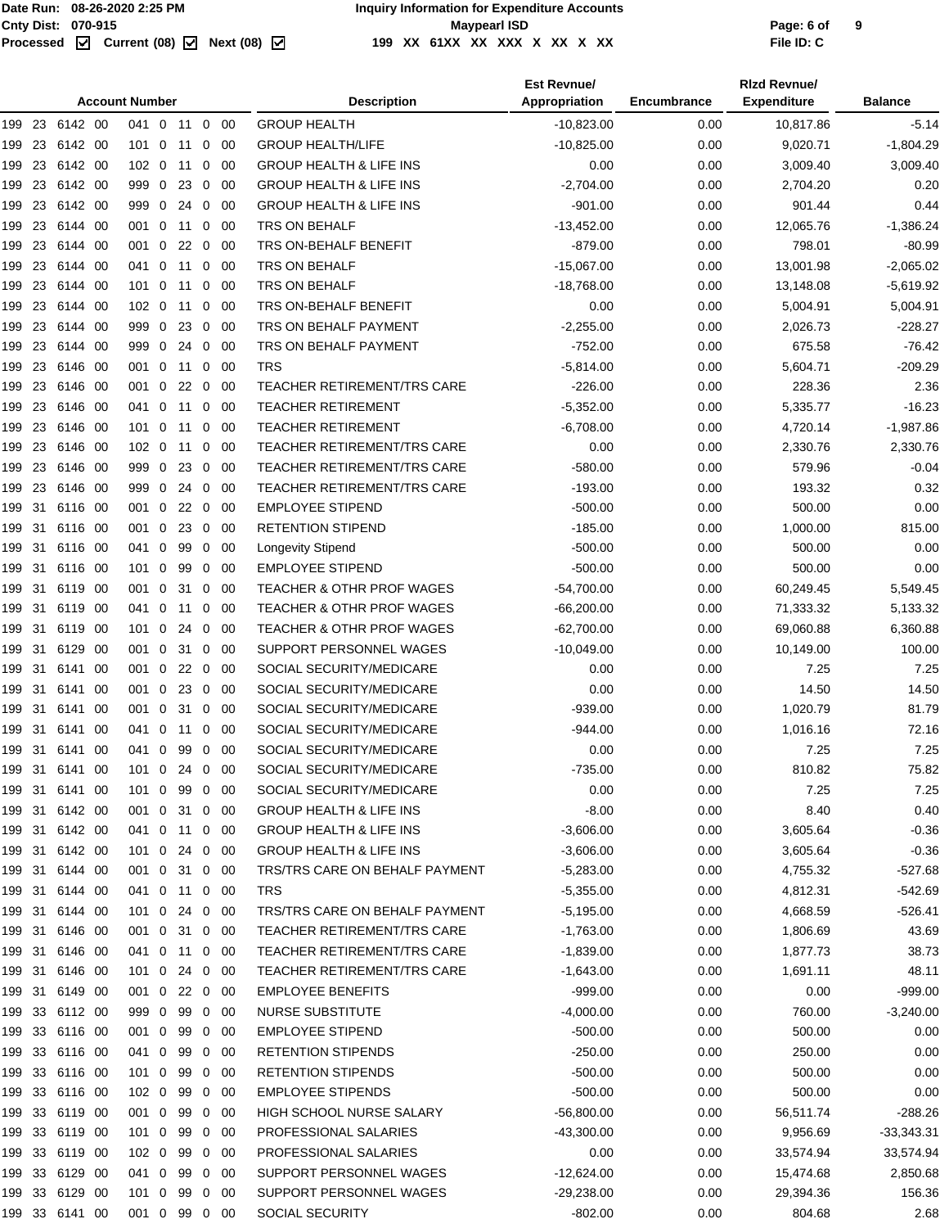|               |          |                |      | <b>Account Number</b> |                |         |              |             | <b>Description</b>                   | <b>Est Revnue/</b><br>Appropriation | <b>Encumbrance</b> | <b>Rizd Revnue/</b><br><b>Expenditure</b> | <b>Balance</b> |
|---------------|----------|----------------|------|-----------------------|----------------|---------|--------------|-------------|--------------------------------------|-------------------------------------|--------------------|-------------------------------------------|----------------|
|               |          | 199 23 6142 00 |      | 041 0                 |                | 11      |              | $0\quad 00$ | <b>GROUP HEALTH</b>                  | $-10,823.00$                        | 0.00               | 10,817.86                                 | $-5.14$        |
| 199           | 23       | 6142 00        |      | $101 \quad 0$         |                | 11      | $\mathbf{0}$ | 00          | <b>GROUP HEALTH/LIFE</b>             | $-10,825.00$                        | 0.00               | 9,020.71                                  | $-1,804.29$    |
| 199           | 23       | 6142 00        |      | 102 0 11              |                |         |              | $0\quad 00$ | <b>GROUP HEALTH &amp; LIFE INS</b>   | 0.00                                | 0.00               | 3,009.40                                  | 3,009.40       |
| 199           | 23       | 6142 00        |      | 999 0                 |                | 23      | 0            | 00          | <b>GROUP HEALTH &amp; LIFE INS</b>   | $-2,704.00$                         | 0.00               | 2,704.20                                  | 0.20           |
| 199           | 23       | 6142 00        |      | 999 0                 |                | 24      | 0            | 00          | <b>GROUP HEALTH &amp; LIFE INS</b>   | $-901.00$                           | 0.00               | 901.44                                    | 0.44           |
| 199           | 23       | 6144 00        |      | 001 0                 |                | 11      | 0            | -00         | <b>TRS ON BEHALF</b>                 | $-13,452.00$                        | 0.00               | 12,065.76                                 | $-1,386.24$    |
| 199           | 23       | 6144 00        |      | 001 0                 |                | 22      | 0            | 00          | TRS ON-BEHALF BENEFIT                | $-879.00$                           | 0.00               | 798.01                                    | $-80.99$       |
| 199           | 23       | 6144 00        |      | 041 0                 |                | 11      | 0            | 00          | TRS ON BEHALF                        | $-15,067.00$                        | 0.00               | 13,001.98                                 | $-2,065.02$    |
| 199           | 23       | 6144 00        |      | 101 0 11              |                |         | $\mathbf{0}$ | -00         | <b>TRS ON BEHALF</b>                 | $-18,768.00$                        | 0.00               | 13,148.08                                 | $-5,619.92$    |
| 199           | 23       | 6144 00        |      | 102 0                 |                | 11      | 0            | 00          | TRS ON-BEHALF BENEFIT                | 0.00                                | 0.00               | 5,004.91                                  | 5,004.91       |
| 199           | 23       | 6144 00        |      | 999 0                 |                | 23      | 0            | 00          | TRS ON BEHALF PAYMENT                | $-2,255.00$                         | 0.00               | 2,026.73                                  | $-228.27$      |
| 199           | 23       | 6144 00        |      | 999 0                 |                | 24      |              | $0\quad 00$ | TRS ON BEHALF PAYMENT                | $-752.00$                           | 0.00               | 675.58                                    | $-76.42$       |
| 199           | 23       | 6146 00        |      | 001 0                 |                | 11      | $\mathbf{0}$ | -00         | <b>TRS</b>                           | $-5,814.00$                         | 0.00               | 5,604.71                                  | -209.29        |
| 199           | 23       | 6146 00        |      | 001 0                 |                | 22      | $\mathbf{0}$ | -00         | <b>TEACHER RETIREMENT/TRS CARE</b>   | $-226.00$                           | 0.00               | 228.36                                    | 2.36           |
| 199           | 23       | 6146 00        |      | 041 0                 |                | 11      |              | $0\quad 00$ | <b>TEACHER RETIREMENT</b>            | $-5,352.00$                         | 0.00               | 5,335.77                                  | $-16.23$       |
| 199           | 23       | 6146 00        |      | $101 \ 0$             |                | 11      | 0            | 00          | <b>TEACHER RETIREMENT</b>            | $-6,708.00$                         | 0.00               | 4,720.14                                  | $-1,987.86$    |
| 199           | 23       | 6146 00        |      | $102 \ 0$             |                | 11      | 0            | 00          | <b>TEACHER RETIREMENT/TRS CARE</b>   | 0.00                                | 0.00               | 2,330.76                                  | 2,330.76       |
| 199           | 23       | 6146 00        |      | 999 0                 |                | 23      | 0            | -00         | <b>TEACHER RETIREMENT/TRS CARE</b>   | $-580.00$                           | 0.00               | 579.96                                    | $-0.04$        |
| 199           | 23       | 6146 00        |      | 999 0                 |                | 24      | 0            | 00          | <b>TEACHER RETIREMENT/TRS CARE</b>   | $-193.00$                           | 0.00               | 193.32                                    | 0.32           |
| 199           | 31       | 6116 00        |      | 001 0                 |                | 22      | $\mathbf 0$  | 00          | <b>EMPLOYEE STIPEND</b>              | $-500.00$                           | 0.00               | 500.00                                    | 0.00           |
| 199           | 31       | 6116 00        |      | 001 0                 |                | 23      | $\mathbf{0}$ | -00         | <b>RETENTION STIPEND</b>             | $-185.00$                           | 0.00               | 1,000.00                                  | 815.00         |
| 199           | 31       | 6116 00        |      | 041 0                 |                | 99      | 0            | 00          | Longevity Stipend                    | $-500.00$                           | 0.00               | 500.00                                    | 0.00           |
| 199           | -31      | 6116 00        |      | $101 \ 0$             |                | 99      | $\mathbf{0}$ | 00          | <b>EMPLOYEE STIPEND</b>              | $-500.00$                           | 0.00               | 500.00                                    | 0.00           |
| 199           | 31       | 6119           | - 00 | 001 0                 |                | 31      | $\mathbf 0$  | -00         | TEACHER & OTHR PROF WAGES            | $-54,700.00$                        | 0.00               | 60,249.45                                 | 5,549.45       |
| 199           | 31       | 6119 00        |      | 041 0                 |                | 11      | 0            | 00          | <b>TEACHER &amp; OTHR PROF WAGES</b> | $-66,200.00$                        | 0.00               | 71,333.32                                 | 5,133.32       |
| 199           | 31       | 6119 00        |      | $101 \quad 0$         |                | 24      | 0            | 00          | <b>TEACHER &amp; OTHR PROF WAGES</b> | $-62,700.00$                        | 0.00               | 69,060.88                                 | 6,360.88       |
| 199           | 31       | 6129 00        |      | 001 0                 |                | 31      | $\mathbf{0}$ | -00         | SUPPORT PERSONNEL WAGES              | $-10,049.00$                        | 0.00               | 10,149.00                                 | 100.00         |
| 199           | 31       | 6141           | -00  | 001                   | $\overline{0}$ | 22      | 0            | 00          | SOCIAL SECURITY/MEDICARE             | 0.00                                | 0.00               | 7.25                                      | 7.25           |
|               | 31       |                |      |                       |                |         |              |             | SOCIAL SECURITY/MEDICARE             | 0.00                                | 0.00               | 14.50                                     | 14.50          |
| 199           |          | 6141           | 00   | 001 0<br>001 0        |                | 23      | 0            | 00          | SOCIAL SECURITY/MEDICARE             |                                     |                    |                                           |                |
| 199           | 31<br>31 | 6141<br>6141   | -00  | 041 0                 |                | 31      | 0<br>0       | -00         | SOCIAL SECURITY/MEDICARE             | $-939.00$<br>-944.00                | 0.00<br>0.00       | 1,020.79<br>1,016.16                      | 81.79<br>72.16 |
| 199<br>199 31 |          | 6141 00        | -00  |                       |                | -11     |              | 00          | SOCIAL SECURITY/MEDICARE             |                                     |                    |                                           |                |
|               |          | 199 31 6141 00 |      | 041 0                 |                | 99      | $\mathbf{0}$ | -00         |                                      | 0.00                                | 0.00               | 7.25                                      | 7.25           |
|               |          |                |      | 101 0                 |                | 24 0 00 |              |             | SOCIAL SECURITY/MEDICARE             | $-735.00$                           | 0.00               | 810.82                                    | 75.82          |
|               |          | 199 31 6141 00 |      | 101 0                 |                | 99      |              | $0\quad 00$ | SOCIAL SECURITY/MEDICARE             | 0.00                                | 0.00               | 7.25                                      | 7.25           |
|               |          | 199 31 6142 00 |      | 001 0 31              |                |         |              | $0\quad 00$ | <b>GROUP HEALTH &amp; LIFE INS</b>   | $-8.00$                             | 0.00               | 8.40                                      | 0.40           |
| 199 31        |          | 6142 00        |      | 041 0 11              |                |         |              | $0\quad 00$ | <b>GROUP HEALTH &amp; LIFE INS</b>   | $-3,606.00$                         | 0.00               | 3,605.64                                  | $-0.36$        |
| 199 31        |          | 6142 00        |      | 101 0                 |                | 24      |              | $0\quad 00$ | <b>GROUP HEALTH &amp; LIFE INS</b>   | $-3,606.00$                         | 0.00               | 3,605.64                                  | $-0.36$        |
| 199 31        |          | 6144 00        |      | 001 0                 |                | -31     |              | $0\quad00$  | TRS/TRS CARE ON BEHALF PAYMENT       | $-5,283.00$                         | 0.00               | 4,755.32                                  | $-527.68$      |
| 199 31        |          | 6144 00        |      | 041 0 11              |                |         |              | $0\quad 00$ | <b>TRS</b>                           | $-5,355.00$                         | 0.00               | 4,812.31                                  | $-542.69$      |
| 199 31        |          | 6144 00        |      | 101 0 24              |                |         |              | $0\quad 00$ | TRS/TRS CARE ON BEHALF PAYMENT       | $-5,195.00$                         | 0.00               | 4,668.59                                  | $-526.41$      |
| 199 31        |          | 6146 00        |      | 001 0                 |                | 31      |              | $0\quad00$  | TEACHER RETIREMENT/TRS CARE          | $-1,763.00$                         | 0.00               | 1,806.69                                  | 43.69          |
| 199 31        |          | 6146 00        |      | 041 0 11              |                |         |              | $0\quad 00$ | <b>TEACHER RETIREMENT/TRS CARE</b>   | $-1,839.00$                         | 0.00               | 1,877.73                                  | 38.73          |
| 199 31        |          | 6146 00        |      | 101 0                 |                | 24 0 00 |              |             | TEACHER RETIREMENT/TRS CARE          | $-1,643.00$                         | 0.00               | 1,691.11                                  | 48.11          |
| 199 31        |          | 6149 00        |      | 001 0 22 0 00         |                |         |              |             | <b>EMPLOYEE BENEFITS</b>             | -999.00                             | 0.00               | 0.00                                      | $-999.00$      |
|               |          | 199 33 6112 00 |      | 999 0                 |                | 99      |              | $0\quad00$  | NURSE SUBSTITUTE                     | $-4,000.00$                         | 0.00               | 760.00                                    | $-3,240.00$    |
|               |          | 199 33 6116 00 |      | 001 0                 |                | 99      |              | $0\quad00$  | <b>EMPLOYEE STIPEND</b>              | $-500.00$                           | 0.00               | 500.00                                    | 0.00           |
| 199 33        |          | 6116 00        |      | 041 0                 |                | 99      |              | $0\quad 00$ | <b>RETENTION STIPENDS</b>            | $-250.00$                           | 0.00               | 250.00                                    | 0.00           |
|               |          | 199 33 6116 00 |      | 101 0                 |                | 99      |              | $0\quad00$  | <b>RETENTION STIPENDS</b>            | $-500.00$                           | 0.00               | 500.00                                    | 0.00           |
| 199 33        |          | 6116 00        |      | 102 0                 |                | 99      |              | $0\quad 00$ | <b>EMPLOYEE STIPENDS</b>             | $-500.00$                           | 0.00               | 500.00                                    | 0.00           |
| 199 33        |          | 6119 00        |      | 001 0                 |                | 99      |              | $0\quad 00$ | HIGH SCHOOL NURSE SALARY             | $-56,800.00$                        | 0.00               | 56,511.74                                 | $-288.26$      |
|               |          | 199 33 6119 00 |      | 101 0 99              |                |         |              | $0\quad00$  | PROFESSIONAL SALARIES                | -43,300.00                          | 0.00               | 9,956.69                                  | $-33,343.31$   |
|               |          | 199 33 6119 00 |      | 102 0                 |                | 99      |              | $0\quad 00$ | PROFESSIONAL SALARIES                | 0.00                                | 0.00               | 33,574.94                                 | 33,574.94      |
|               |          | 199 33 6129 00 |      | 041 0                 |                | 99      |              | $0\quad 00$ | SUPPORT PERSONNEL WAGES              | $-12,624.00$                        | 0.00               | 15,474.68                                 | 2,850.68       |
|               |          | 199 33 6129 00 |      | 101 0 99              |                |         |              | $0\quad00$  | SUPPORT PERSONNEL WAGES              | $-29,238.00$                        | 0.00               | 29,394.36                                 | 156.36         |
|               |          | 199 33 6141 00 |      | 001 0 99              |                |         |              | $0\quad 00$ | SOCIAL SECURITY                      | $-802.00$                           | 0.00               | 804.68                                    | 2.68           |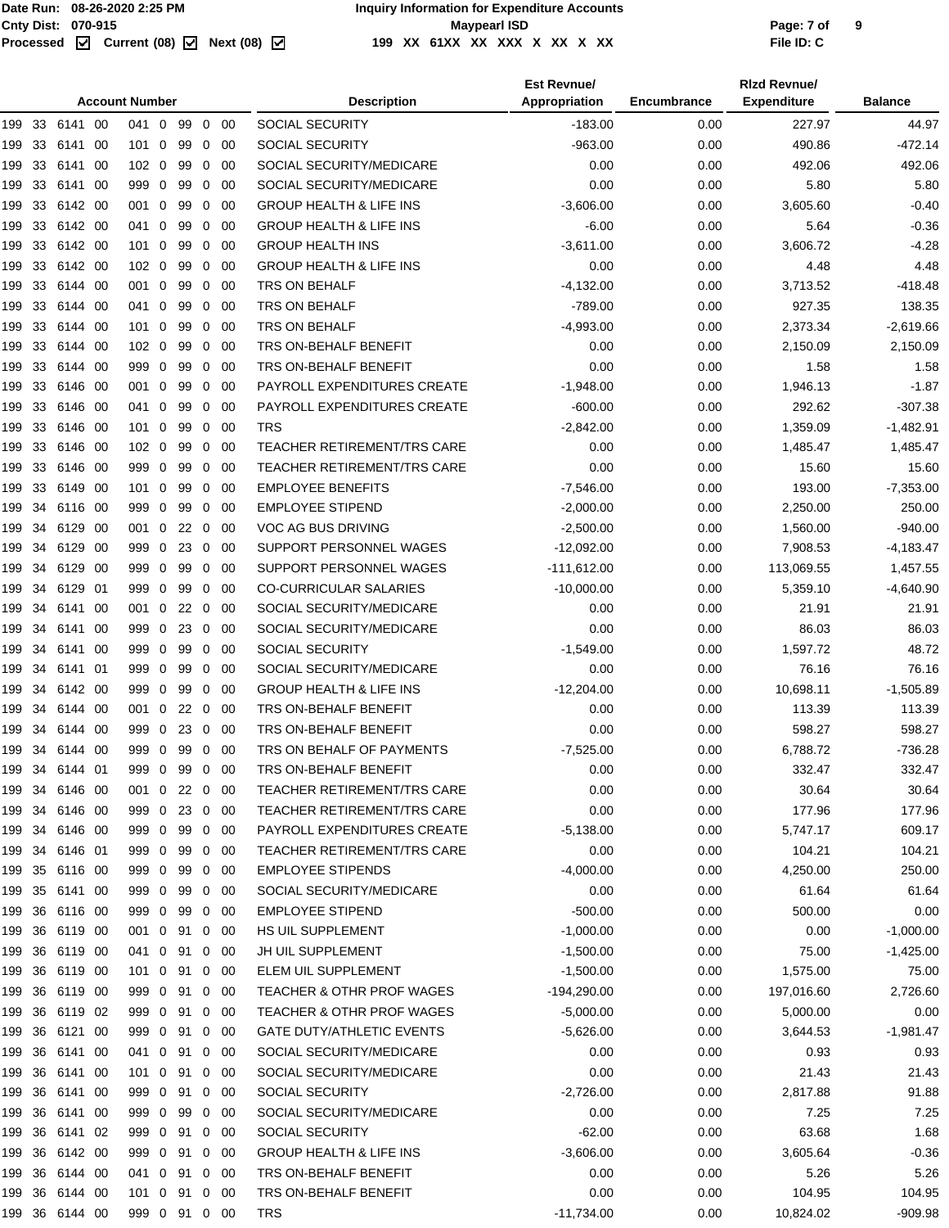|        | <b>Account Number</b> |                |      |               |  |         |                |             | <b>Description</b>                   | <b>Est Revnue/</b><br>Appropriation | Encumbrance | <b>Rizd Revnue/</b><br><b>Expenditure</b> | <b>Balance</b> |
|--------|-----------------------|----------------|------|---------------|--|---------|----------------|-------------|--------------------------------------|-------------------------------------|-------------|-------------------------------------------|----------------|
|        |                       | 199 33 6141 00 |      | 041 0         |  | 99      |                | $0\quad 00$ | <b>SOCIAL SECURITY</b>               | $-183.00$                           | 0.00        | 227.97                                    | 44.97          |
| 199    | 33                    | 6141           | 00   | $101 \ 0$     |  | 99      | $\mathbf 0$    | -00         | <b>SOCIAL SECURITY</b>               | $-963.00$                           | 0.00        | 490.86                                    | $-472.14$      |
| 199    | 33                    | 6141           | -00  | $102 \ 0$     |  | 99      | $\mathbf 0$    | 00          | SOCIAL SECURITY/MEDICARE             | 0.00                                | 0.00        | 492.06                                    | 492.06         |
| 199    | 33                    | 6141           | -00  | 999 0         |  | 99      | 0              | -00         | SOCIAL SECURITY/MEDICARE             | 0.00                                | 0.00        | 5.80                                      | 5.80           |
| 199    | 33                    | 6142 00        |      | 001 0         |  | 99      | 0              | -00         | <b>GROUP HEALTH &amp; LIFE INS</b>   | $-3,606.00$                         | 0.00        | 3,605.60                                  | $-0.40$        |
| 199    | 33                    | 6142 00        |      | 041 0         |  | 99      | 0              | 00          | <b>GROUP HEALTH &amp; LIFE INS</b>   | $-6.00$                             | 0.00        | 5.64                                      | $-0.36$        |
| 199    | 33                    | 6142 00        |      | $101 \ 0$     |  | 99      | 0              | -00         | <b>GROUP HEALTH INS</b>              | $-3,611.00$                         | 0.00        | 3,606.72                                  | $-4.28$        |
| 199    | 33                    | 6142 00        |      | $102 \ 0$     |  | 99      | $\mathbf 0$    | 00          | <b>GROUP HEALTH &amp; LIFE INS</b>   | 0.00                                | 0.00        | 4.48                                      | 4.48           |
| 199    | -33                   | 6144 00        |      | $001 \quad 0$ |  | 99      | 0              | 00          | TRS ON BEHALF                        | $-4,132.00$                         | 0.00        | 3,713.52                                  | $-418.48$      |
| 199    | -33                   | 6144 00        |      | 041 0         |  | 99      | $\mathbf{0}$   | -00         | <b>TRS ON BEHALF</b>                 | $-789.00$                           | 0.00        | 927.35                                    | 138.35         |
| 199    | 33                    | 6144 00        |      | $101 \ 0$     |  | 99      | 0              | -00         | TRS ON BEHALF                        | $-4,993.00$                         | 0.00        | 2,373.34                                  | $-2,619.66$    |
| 199    | 33                    | 6144 00        |      | $102 \ 0$     |  | 99      | 0              | 00          | TRS ON-BEHALF BENEFIT                | 0.00                                | 0.00        | 2,150.09                                  | 2,150.09       |
| 199    | 33                    | 6144 00        |      | 999 0         |  | 99      | 0              | -00         | TRS ON-BEHALF BENEFIT                | 0.00                                | 0.00        | 1.58                                      | 1.58           |
| 199    | 33                    | 6146 00        |      | 001 0         |  | 99      | 0              | -00         | PAYROLL EXPENDITURES CREATE          | $-1,948.00$                         | 0.00        | 1,946.13                                  | $-1.87$        |
| 199    | 33                    | 6146 00        |      | 041 0         |  | 99      | $\mathbf 0$    | 00          | PAYROLL EXPENDITURES CREATE          | $-600.00$                           | 0.00        | 292.62                                    | $-307.38$      |
| 199    | 33                    | 6146 00        |      | $101 \ 0$     |  | 99      | 0              | -00         | TRS                                  | $-2,842.00$                         | 0.00        | 1,359.09                                  | $-1,482.91$    |
| 199    | 33                    | 6146 00        |      | $102 \ 0$     |  | 99      | 0              | 00          | <b>TEACHER RETIREMENT/TRS CARE</b>   | 0.00                                | 0.00        | 1,485.47                                  | 1,485.47       |
| 199    | 33                    | 6146 00        |      | 999 0         |  | 99      | 0              | 00          | <b>TEACHER RETIREMENT/TRS CARE</b>   | 0.00                                | 0.00        | 15.60                                     | 15.60          |
| 199    | 33                    | 6149 00        |      | $101 \ 0$     |  | 99      | 0              | -00         | <b>EMPLOYEE BENEFITS</b>             | $-7,546.00$                         | 0.00        | 193.00                                    | $-7,353.00$    |
| 199    | 34                    | 6116 00        |      | 999 0         |  | 99      | 0              | 00          | <b>EMPLOYEE STIPEND</b>              | $-2,000.00$                         | 0.00        | 2,250.00                                  | 250.00         |
| 199    | 34                    | 6129 00        |      | 001 0         |  | 22      | $\overline{0}$ | 00          | VOC AG BUS DRIVING                   | $-2,500.00$                         | 0.00        | 1,560.00                                  | $-940.00$      |
| 199    | 34                    | 6129 00        |      | 999 0         |  | 23      | $\mathbf 0$    | -00         | SUPPORT PERSONNEL WAGES              | $-12,092.00$                        | 0.00        | 7,908.53                                  | $-4,183.47$    |
| 199    | 34                    | 6129           | - 00 | 999 0         |  | 99      | 0              | -00         | SUPPORT PERSONNEL WAGES              | $-111,612.00$                       | 0.00        | 113,069.55                                | 1,457.55       |
| 199    | 34                    | 6129 01        |      | 999 0         |  | 99      | $\mathbf{0}$   | 00          | <b>CO-CURRICULAR SALARIES</b>        | $-10,000.00$                        | 0.00        | 5,359.10                                  | $-4,640.90$    |
| 199    | 34                    | 6141           | - 00 | 001 0         |  | 22 0    |                | -00         | SOCIAL SECURITY/MEDICARE             | 0.00                                | 0.00        | 21.91                                     | 21.91          |
| 199    | 34                    | 6141           | -00  | 999 0         |  | 23      | 0              | -00         | SOCIAL SECURITY/MEDICARE             | 0.00                                | 0.00        | 86.03                                     | 86.03          |
| 199    | 34                    | 6141           | -00  | 999 0         |  | 99      | 0              | 00          | <b>SOCIAL SECURITY</b>               | $-1,549.00$                         | 0.00        | 1,597.72                                  | 48.72          |
| 199    | 34                    | 6141           | -01  | 999 0         |  | 99      | 0              | -00         | SOCIAL SECURITY/MEDICARE             | 0.00                                | 0.00        | 76.16                                     | 76.16          |
| 199    | 34                    | 6142 00        |      | 999 0         |  | 99      | 0              | -00         | <b>GROUP HEALTH &amp; LIFE INS</b>   | $-12,204.00$                        | 0.00        | 10,698.11                                 | $-1,505.89$    |
| 199    | 34                    | 6144 00        |      | 001 0         |  | 22      | $\overline{0}$ | 00          | TRS ON-BEHALF BENEFIT                | 0.00                                | 0.00        | 113.39                                    | 113.39         |
| 199    | 34                    | 6144 00        |      | 999 0         |  | 23      | 0              | -00         | TRS ON-BEHALF BENEFIT                | 0.00                                | 0.00        | 598.27                                    | 598.27         |
|        | 199 34                | 6144 00        |      | 999 0         |  | 99      |                | $0\quad 00$ | TRS ON BEHALF OF PAYMENTS            | $-7,525.00$                         | 0.00        | 6,788.72                                  | $-736.28$      |
|        |                       | 199 34 6144 01 |      | 999 0 99 0 00 |  |         |                |             | TRS ON-BEHALF BENEFIT                | 0.00                                | 0.00        | 332.47                                    | 332.47         |
|        | 199 34                | 6146 00        |      | 001 0         |  | 22 0 00 |                |             | <b>TEACHER RETIREMENT/TRS CARE</b>   | 0.00                                | 0.00        | 30.64                                     | 30.64          |
|        | 199 34                | 6146 00        |      | 999 0         |  | 23 0 00 |                |             | TEACHER RETIREMENT/TRS CARE          | 0.00                                | 0.00        | 177.96                                    | 177.96         |
|        |                       | 199 34 6146 00 |      | 999 0 99      |  |         |                | 0 00        | PAYROLL EXPENDITURES CREATE          | $-5,138.00$                         | 0.00        | 5,747.17                                  | 609.17         |
|        |                       | 199 34 6146 01 |      | 999 0         |  | 99      |                | $0\quad 00$ | TEACHER RETIREMENT/TRS CARE          | 0.00                                | 0.00        | 104.21                                    | 104.21         |
| 199 35 |                       | 6116 00        |      | 999 0         |  | 99      | $\mathbf{0}$   | -00         | <b>EMPLOYEE STIPENDS</b>             | -4,000.00                           | 0.00        | 4,250.00                                  | 250.00         |
|        | 199 35                | 6141 00        |      | 999 0         |  | 99      |                | $0\quad 00$ | SOCIAL SECURITY/MEDICARE             | 0.00                                | 0.00        | 61.64                                     | 61.64          |
|        | 199 36                | 6116 00        |      | 999 0         |  | 99      |                | $0\quad 00$ | <b>EMPLOYEE STIPEND</b>              | $-500.00$                           | 0.00        | 500.00                                    | 0.00           |
|        | 199 36                | 6119 00        |      | 001 0         |  | 91      |                | $0\quad 00$ | HS UIL SUPPLEMENT                    | $-1,000.00$                         | 0.00        | 0.00                                      | $-1,000.00$    |
|        | 199 36                | 6119 00        |      | 041 0 91      |  |         |                | $0\quad 00$ | JH UIL SUPPLEMENT                    | $-1,500.00$                         | 0.00        | 75.00                                     | $-1,425.00$    |
|        | 199 36                | 6119 00        |      | 101 0 91      |  |         |                | $0\quad 00$ | ELEM UIL SUPPLEMENT                  | $-1,500.00$                         | 0.00        | 1,575.00                                  | 75.00          |
| 199    | 36                    | 6119 00        |      | 999 0         |  | 91      | 0              | 00          | TEACHER & OTHR PROF WAGES            | $-194,290.00$                       | 0.00        | 197,016.60                                | 2,726.60       |
| 199    | 36                    | 6119 02        |      | 999 0 91      |  |         | $\mathbf 0$    | -00         | <b>TEACHER &amp; OTHR PROF WAGES</b> | $-5,000.00$                         | 0.00        | 5,000.00                                  | 0.00           |
|        | 199 36                | 6121 00        |      | 999 0 91      |  |         |                | $0\quad 00$ | <b>GATE DUTY/ATHLETIC EVENTS</b>     | $-5,626.00$                         | 0.00        | 3,644.53                                  | $-1,981.47$    |
|        | 199 36                | 6141 00        |      | 041 0         |  | 91      |                | $0\quad 00$ | SOCIAL SECURITY/MEDICARE             | 0.00                                | 0.00        | 0.93                                      | 0.93           |
|        | 199 36                | 6141 00        |      | 101 0 91      |  |         |                | $0\quad 00$ | SOCIAL SECURITY/MEDICARE             | 0.00                                | 0.00        | 21.43                                     | 21.43          |
|        | 199 36                | 6141 00        |      | 999 0         |  | 91      | $\mathbf{0}$   | - 00        | SOCIAL SECURITY                      | $-2,726.00$                         | 0.00        | 2,817.88                                  | 91.88          |
|        | 199 36                | 6141 00        |      | 999 0         |  | 99      | $\mathbf{0}$   | -00         | SOCIAL SECURITY/MEDICARE             | 0.00                                | 0.00        | 7.25                                      | 7.25           |
|        | 199 36                | 6141 02        |      | 999 0 91      |  |         |                | $0\quad 00$ | <b>SOCIAL SECURITY</b>               | $-62.00$                            | 0.00        | 63.68                                     | 1.68           |
|        | 199 36                | 6142 00        |      | 999 0 91      |  |         |                | $0\quad 00$ | <b>GROUP HEALTH &amp; LIFE INS</b>   | $-3,606.00$                         | 0.00        | 3,605.64                                  | $-0.36$        |
|        | 199 36                | 6144 00        |      | 041 0         |  | 91      |                | $0\quad 00$ | TRS ON-BEHALF BENEFIT                | 0.00                                | 0.00        | 5.26                                      | 5.26           |
|        | 199 36                | 6144 00        |      | 101 0 91      |  |         |                | $0\quad 00$ | TRS ON-BEHALF BENEFIT                | 0.00                                | 0.00        | 104.95                                    | 104.95         |
|        |                       | 199 36 6144 00 |      | 999 0 91 0 00 |  |         |                |             | TRS                                  | $-11,734.00$                        | 0.00        | 10,824.02                                 | $-909.98$      |
|        |                       |                |      |               |  |         |                |             |                                      |                                     |             |                                           |                |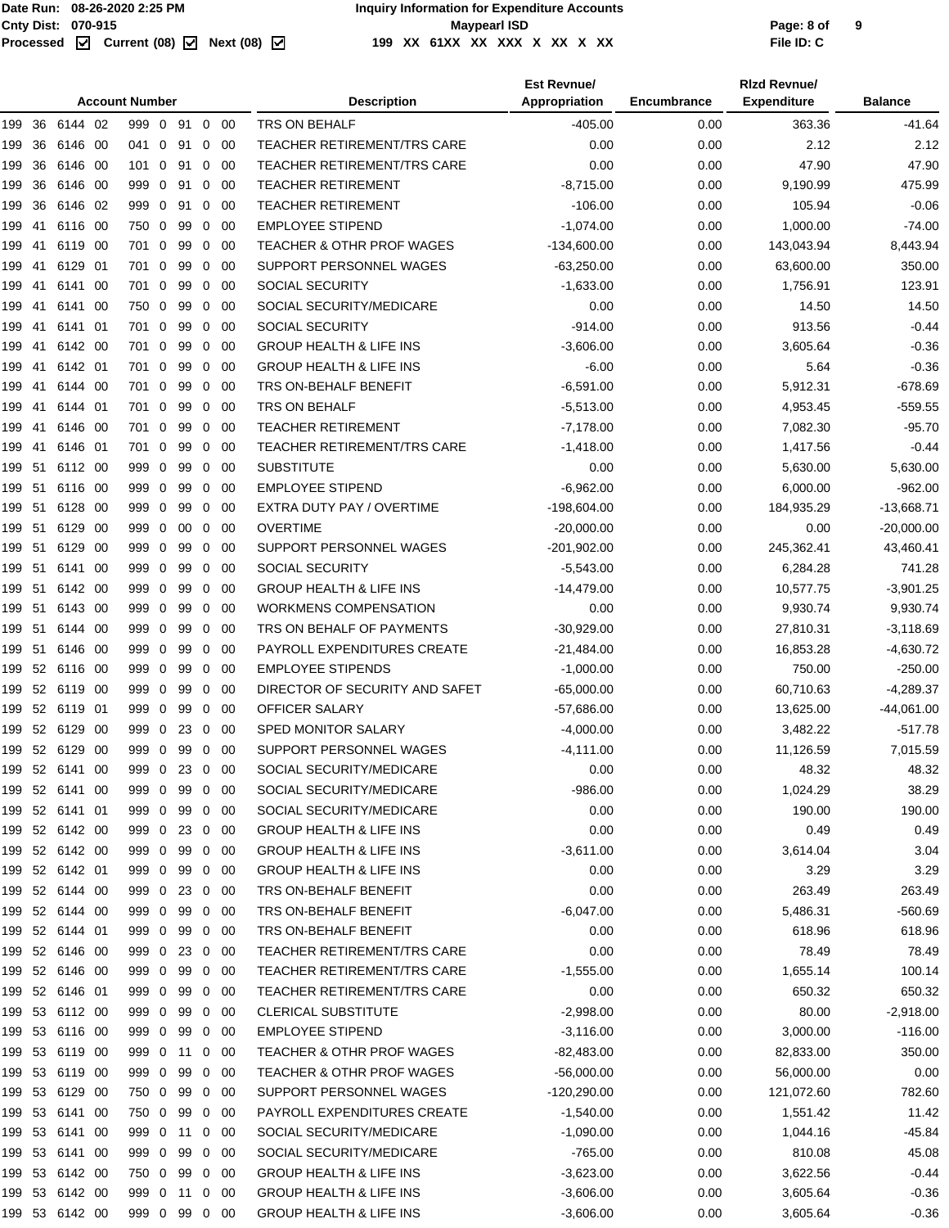|        | <b>Account Number</b> |                |      |               |             |         |                |             | <b>Description</b>                   | <b>Est Revnue/</b><br>Appropriation | Encumbrance | <b>Rizd Revnue/</b><br><b>Expenditure</b> | <b>Balance</b> |
|--------|-----------------------|----------------|------|---------------|-------------|---------|----------------|-------------|--------------------------------------|-------------------------------------|-------------|-------------------------------------------|----------------|
|        |                       | 199 36 6144 02 |      | 999 0 91      |             |         |                | $0\quad 00$ | <b>TRS ON BEHALF</b>                 | $-405.00$                           | 0.00        | 363.36                                    | -41.64         |
| 199    | 36                    | 6146           | -00  | 041 0         |             | 91      | 0              | -00         | <b>TEACHER RETIREMENT/TRS CARE</b>   | 0.00                                | 0.00        | 2.12                                      | 2.12           |
| 199    | 36                    | 6146 00        |      | 101 0         |             | 91      | 0              | -00         | TEACHER RETIREMENT/TRS CARE          | 0.00                                | 0.00        | 47.90                                     | 47.90          |
| 199    | 36                    | 6146 00        |      | 999 0         |             | 91      | 0              | -00         | <b>TEACHER RETIREMENT</b>            | $-8,715.00$                         | 0.00        | 9,190.99                                  | 475.99         |
| 199    | 36                    | 6146 02        |      | 999 0         |             | 91      | 0              | -00         | <b>TEACHER RETIREMENT</b>            | $-106.00$                           | 0.00        | 105.94                                    | $-0.06$        |
| 199    | -41                   | 6116 00        |      | 750 0         |             | 99      | $\mathbf 0$    | - 00        | <b>EMPLOYEE STIPEND</b>              | $-1,074.00$                         | 0.00        | 1,000.00                                  | $-74.00$       |
| 199    | 41                    | 6119 00        |      | 701           | $\mathbf 0$ | 99      | 0              | -00         | <b>TEACHER &amp; OTHR PROF WAGES</b> | $-134,600.00$                       | 0.00        | 143,043.94                                | 8,443.94       |
| 199    | 41                    | 6129           | - 01 | 701           | $\mathbf 0$ | 99      | 0              | 00          | SUPPORT PERSONNEL WAGES              | $-63,250.00$                        | 0.00        | 63,600.00                                 | 350.00         |
| 199    | -41                   | 6141           | - 00 | 701 0         |             | 99      |                | $0\quad 00$ | SOCIAL SECURITY                      | $-1,633.00$                         | 0.00        | 1,756.91                                  | 123.91         |
| 199    | -41                   | 6141           | -00  | 750 0         |             | 99      | 0              | -00         | SOCIAL SECURITY/MEDICARE             | 0.00                                | 0.00        | 14.50                                     | 14.50          |
| 199 41 |                       | 6141 01        |      | 701 0         |             | 99      | 0              | -00         | <b>SOCIAL SECURITY</b>               | $-914.00$                           | 0.00        | 913.56                                    | $-0.44$        |
| 199 41 |                       | 6142 00        |      | 701 0         |             | 99      | $\overline{0}$ | - 00        | <b>GROUP HEALTH &amp; LIFE INS</b>   | $-3,606.00$                         | 0.00        | 3,605.64                                  | $-0.36$        |
| 199    | 41                    | 6142 01        |      | 701 0         |             | 99      | 0              | -00         | <b>GROUP HEALTH &amp; LIFE INS</b>   | $-6.00$                             | 0.00        | 5.64                                      | $-0.36$        |
| 199    | -41                   | 6144           | - 00 | 701           | $\mathbf 0$ | 99      | 0              | -00         | TRS ON-BEHALF BENEFIT                | $-6,591.00$                         | 0.00        | 5,912.31                                  | $-678.69$      |
| 199    | -41                   | 6144 01        |      | 701 0         |             | 99      | $\mathbf{0}$   | - 00        | TRS ON BEHALF                        | $-5,513.00$                         | 0.00        | 4,953.45                                  | $-559.55$      |
| 199    | -41                   | 6146 00        |      | 701           | $\mathbf 0$ | 99      | 0              | - 00        | <b>TEACHER RETIREMENT</b>            | $-7,178.00$                         | 0.00        | 7,082.30                                  | $-95.70$       |
| 199 41 |                       | 6146 01        |      | 701 0         |             | 99      | 0              | -00         | <b>TEACHER RETIREMENT/TRS CARE</b>   | $-1,418.00$                         | 0.00        | 1,417.56                                  | $-0.44$        |
| 199 51 |                       | 6112 00        |      | 999 0         |             | 99      | $\mathbf{0}$   | - 00        | <b>SUBSTITUTE</b>                    | 0.00                                | 0.00        | 5,630.00                                  | 5,630.00       |
|        | 51                    | 6116 00        |      | 999 0         |             | 99      | 0              | -00         | <b>EMPLOYEE STIPEND</b>              | $-6,962.00$                         | 0.00        | 6,000.00                                  | $-962.00$      |
| 199    |                       |                |      |               |             |         |                |             |                                      |                                     |             |                                           |                |
| 199    | -51                   | 6128 00        |      | 999 0         |             | 99      | 0              | -00         | EXTRA DUTY PAY / OVERTIME            | $-198,604.00$                       | 0.00        | 184,935.29                                | $-13,668.71$   |
| 199 51 |                       | 6129 00        |      | 999 0         |             | 00      | $\mathbf{0}$   | - 00        | <b>OVERTIME</b>                      | $-20,000.00$                        | 0.00        | 0.00                                      | $-20,000.00$   |
| 199 51 |                       | 6129 00        |      | 999 0         |             | 99      | 0              | -00         | SUPPORT PERSONNEL WAGES              | $-201,902.00$                       | 0.00        | 245,362.41                                | 43,460.41      |
| 199 51 |                       | 6141 00        |      | 999 0         |             | 99      | 0              | 00          | <b>SOCIAL SECURITY</b>               | $-5,543.00$                         | 0.00        | 6,284.28                                  | 741.28         |
| 199 51 |                       | 6142 00        |      | 999 0         |             | 99      | $\mathbf 0$    | -00         | <b>GROUP HEALTH &amp; LIFE INS</b>   | $-14,479.00$                        | 0.00        | 10,577.75                                 | $-3,901.25$    |
| 199 51 |                       | 6143 00        |      | 999 0         |             | 99      | 0              | -00         | <b>WORKMENS COMPENSATION</b>         | 0.00                                | 0.00        | 9,930.74                                  | 9,930.74       |
| 199 51 |                       | 6144           | - 00 | 999 0         |             | 99      | 0              | -00         | TRS ON BEHALF OF PAYMENTS            | $-30,929.00$                        | 0.00        | 27,810.31                                 | $-3,118.69$    |
| 199 51 |                       | 6146 00        |      | 999 0         |             | 99      | $\mathbf 0$    | - 00        | PAYROLL EXPENDITURES CREATE          | $-21,484.00$                        | 0.00        | 16,853.28                                 | $-4,630.72$    |
| 199 52 |                       | 6116 00        |      | 999 0         |             | 99      | 0              | 00          | <b>EMPLOYEE STIPENDS</b>             | $-1,000.00$                         | 0.00        | 750.00                                    | $-250.00$      |
| 199 52 |                       | 6119 00        |      | 999 0         |             | 99      | 0              | -00         | DIRECTOR OF SECURITY AND SAFET       | $-65,000.00$                        | 0.00        | 60,710.63                                 | $-4,289.37$    |
|        |                       | 199 52 6119 01 |      | 999 0         |             | 99      | $\mathbf{0}$   | - 00        | <b>OFFICER SALARY</b>                | $-57,686.00$                        | 0.00        | 13,625.00                                 | $-44,061.00$   |
|        |                       | 199 52 6129 00 |      | 999 0         |             | 23      | 0              | -00         | SPED MONITOR SALARY                  | $-4,000.00$                         | 0.00        | 3,482.22                                  | $-517.78$      |
|        |                       | 199 52 6129 00 |      | 999 0         |             | 99 0 00 |                |             | SUPPORT PERSONNEL WAGES              | $-4,111.00$                         | 0.00        | 11,126.59                                 | 7,015.59       |
|        |                       | 199 52 6141 00 |      | 999 0 23 0 00 |             |         |                |             | SOCIAL SECURITY/MEDICARE             | 0.00                                | 0.00        | 48.32                                     | 48.32          |
|        |                       | 199 52 6141 00 |      | 999 0         |             | 99      |                | $0\quad00$  | SOCIAL SECURITY/MEDICARE             | $-986.00$                           | 0.00        | 1,024.29                                  | 38.29          |
|        |                       | 199 52 6141 01 |      | 999 0         |             | 99      |                | $0\quad00$  | SOCIAL SECURITY/MEDICARE             | 0.00                                | 0.00        | 190.00                                    | 190.00         |
|        |                       | 199 52 6142 00 |      | 999 0 23 0 00 |             |         |                |             | <b>GROUP HEALTH &amp; LIFE INS</b>   | 0.00                                | 0.00        | 0.49                                      | 0.49           |
|        |                       | 199 52 6142 00 |      | 999 0         |             | 99      |                | $0\quad 00$ | <b>GROUP HEALTH &amp; LIFE INS</b>   | $-3,611.00$                         | 0.00        | 3,614.04                                  | 3.04           |
|        |                       | 199 52 6142 01 |      | 999 0         |             | 99      |                | $0\quad 00$ | <b>GROUP HEALTH &amp; LIFE INS</b>   | 0.00                                | 0.00        | 3.29                                      | 3.29           |
|        |                       | 199 52 6144 00 |      | 999 0 23 0 00 |             |         |                |             | TRS ON-BEHALF BENEFIT                | 0.00                                | 0.00        | 263.49                                    | 263.49         |
|        |                       | 199 52 6144 00 |      | 999 0         |             | 99      |                | $0\quad00$  | TRS ON-BEHALF BENEFIT                | $-6,047.00$                         | 0.00        | 5,486.31                                  | $-560.69$      |
|        |                       | 199 52 6144 01 |      | 999 0         |             | 99      |                | $0\quad 00$ | TRS ON-BEHALF BENEFIT                | 0.00                                | 0.00        | 618.96                                    | 618.96         |
|        |                       | 199 52 6146 00 |      | 999 0 23 0 00 |             |         |                |             | <b>TEACHER RETIREMENT/TRS CARE</b>   | 0.00                                | 0.00        | 78.49                                     | 78.49          |
|        |                       | 199 52 6146 00 |      | 999 0         |             | 99      |                | $0\quad 00$ | <b>TEACHER RETIREMENT/TRS CARE</b>   | $-1,555.00$                         | 0.00        | 1,655.14                                  | 100.14         |
|        |                       | 199 52 6146 01 |      | 999 0         |             | 99      |                | $0\quad 00$ | TEACHER RETIREMENT/TRS CARE          | 0.00                                | 0.00        | 650.32                                    | 650.32         |
|        |                       | 199 53 6112 00 |      | 999 0 99      |             |         |                | $0\quad 00$ | <b>CLERICAL SUBSTITUTE</b>           | $-2,998.00$                         | 0.00        | 80.00                                     | $-2,918.00$    |
| 199 53 |                       | 6116 00        |      | 999 0         |             | 99      |                | $0\quad00$  | <b>EMPLOYEE STIPEND</b>              | $-3,116.00$                         | 0.00        | 3,000.00                                  | $-116.00$      |
|        |                       | 199 53 6119 00 |      | 999 0 11      |             |         |                | $0\quad 00$ | <b>TEACHER &amp; OTHR PROF WAGES</b> | $-82,483.00$                        | 0.00        | 82,833.00                                 | 350.00         |
|        |                       | 199 53 6119 00 |      | 999 0         |             | 99      |                | $0\quad 00$ | TEACHER & OTHR PROF WAGES            | $-56,000.00$                        | 0.00        | 56,000.00                                 | 0.00           |
|        |                       | 199 53 6129 00 |      | 750 0         |             | 99      |                | $0\quad 00$ | SUPPORT PERSONNEL WAGES              | $-120,290.00$                       | 0.00        | 121,072.60                                | 782.60         |
|        |                       | 199 53 6141 00 |      | 750 0         |             | 99      |                | $0\quad 00$ | PAYROLL EXPENDITURES CREATE          | $-1,540.00$                         | 0.00        | 1,551.42                                  | 11.42          |
|        |                       | 199 53 6141 00 |      | 999 0 11      |             |         |                | $0\quad 00$ | SOCIAL SECURITY/MEDICARE             | $-1,090.00$                         | 0.00        | 1,044.16                                  | $-45.84$       |
| 199 53 |                       | 6141 00        |      | 999 0         |             | 99      |                | $0\quad 00$ | SOCIAL SECURITY/MEDICARE             | $-765.00$                           | 0.00        | 810.08                                    | 45.08          |
|        |                       | 199 53 6142 00 |      | 750 0         |             | 99      |                | $0\quad 00$ | <b>GROUP HEALTH &amp; LIFE INS</b>   | $-3,623.00$                         | 0.00        | 3,622.56                                  | $-0.44$        |
|        |                       | 199 53 6142 00 |      | 999 0 11      |             |         |                | $0\quad 00$ | <b>GROUP HEALTH &amp; LIFE INS</b>   | $-3,606.00$                         | 0.00        | 3,605.64                                  | $-0.36$        |
|        |                       | 199 53 6142 00 |      | 999 0 99 0 00 |             |         |                |             | <b>GROUP HEALTH &amp; LIFE INS</b>   | $-3,606.00$                         | 0.00        | 3,605.64                                  | $-0.36$        |